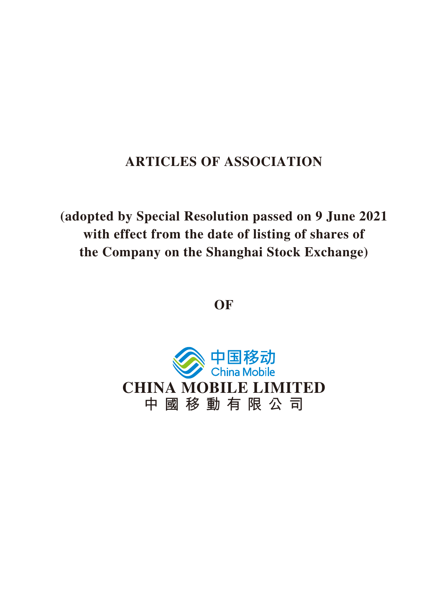# **ARTICLES OF ASSOCIATION**

**(adopted by Special Resolution passed on 9 June 2021 with effect from the date of listing of shares of the Company on the Shanghai Stock Exchange)**

**OF**

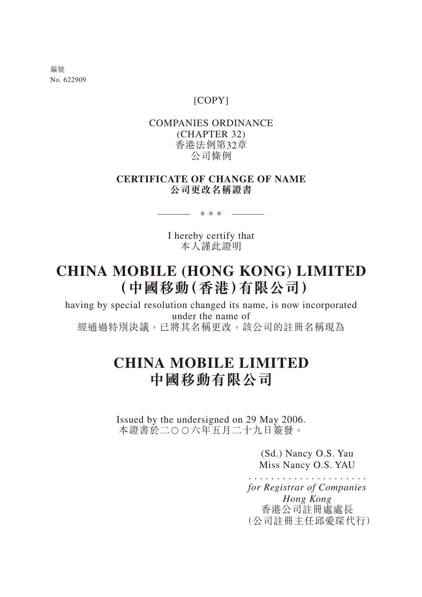編號 No. 622909

# [COPY]

# COMPANIES ORDINANCE (CHAPTER 32) 香港法例第32章 公司條例

# **CERTIFICATE OF CHANGE OF NAME 公司更改名稱證書**

I hereby certify that 本人謹此證明

\*\*\*

# **CHINA MOBILE (HONG KONG) LIMITED (中國移動(香港)有限公司)**

having by special resolution changed its name, is now incorporated under the name of 經通過特別決議,已將其名稱更改,該公司的註冊名稱現為

# **CHINA MOBILE LIMITED 中國移動有限公司**

Issued by the undersigned on 29 May 2006. 本證書於二○○六年五月二十九日簽發。

> (Sd.) Nancy O.S. Yau Miss Nancy O.S. YAU

..................... *for Registrar of Companies Hong Kong* 香港公司註冊處處長 (公司註冊主任邱愛琛代行)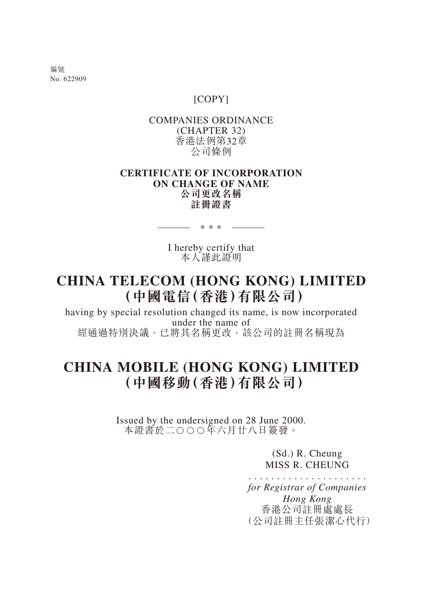編號 No. 622909

# [COPY]

# COMPANIES ORDINANCE (CHAPTER 32) 香港法例第32章 公司條例

# **CERTIFICATE OF INCORPORATION ON CHANGE OF NAME 公司更改名稱 註冊證書**

I hereby certify that 本人謹此證明

\*\*\*

# **CHINA TELECOM (HONG KONG) LIMITED (中國電信(香港)有限公司)**

having by special resolution changed its name, is now incorporated under the name of 經通過特別決議,已將其名稱更改,該公司的註冊名稱現為

# **CHINA MOBILE (HONG KONG) LIMITED (中國移動(香港)有限公司)**

Issued by the undersigned on 28 June 2000. 本證書於二○○○年六月廿八日簽發。

> (Sd.) R. Cheung MISS R. CHEUNG

..................... *for Registrar of Companies Hong Kong* 香港公司註冊處處長 (公司註冊主任張潔心代行)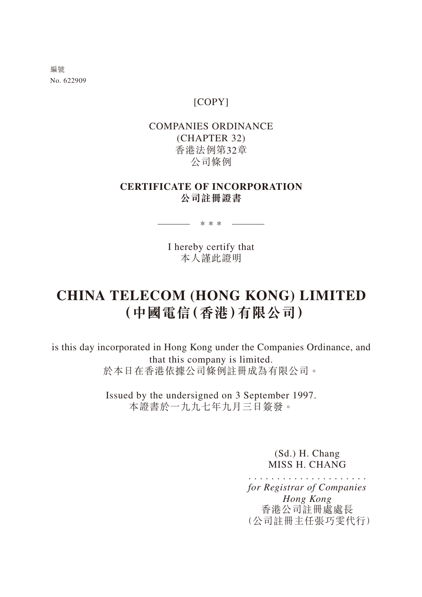編號 No. 622909

# [COPY]

# COMPANIES ORDINANCE (CHAPTER 32) 香港法例第32章 公司條例

# **CERTIFICATE OF INCORPORATION 公司註冊證書**

\_\_\_\_\_\_ \* \* \* \_\_\_\_\_\_\_\_

I hereby certify that 本人謹此證明

# **CHINA TELECOM (HONG KONG) LIMITED (中國電信(香港)有限公司)**

is this day incorporated in Hong Kong under the Companies Ordinance, and that this company is limited. 於本日在香港依據公司條例註冊成為有限公司。

> Issued by the undersigned on 3 September 1997. 本證書於一九九七年九月三日簽發。

> > (Sd.) H. Chang MISS H. CHANG

..................... *for Registrar of Companies Hong Kong* 香港公司註冊處處長 (公司註冊主任張巧雯代行)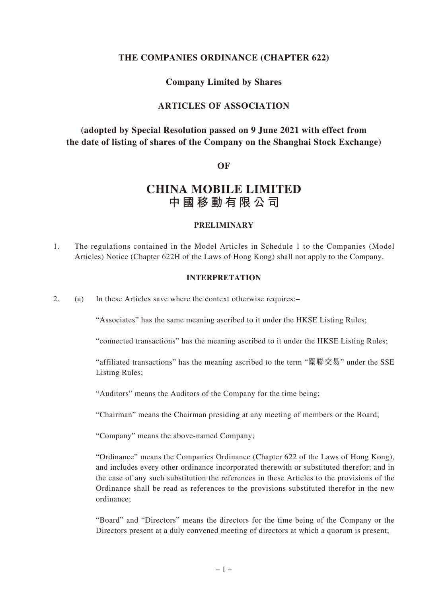# **THE COMPANIES ORDINANCE (CHAPTER 622)**

# **Company Limited by Shares**

# **ARTICLES OF ASSOCIATION**

# **(adopted by Special Resolution passed on 9 June 2021 with effect from the date of listing of shares of the Company on the Shanghai Stock Exchange)**

#### **OF**

# **CHINA MOBILE LIMITED 中國移動有限公司**

#### **PRELIMINARY**

1. The regulations contained in the Model Articles in Schedule 1 to the Companies (Model Articles) Notice (Chapter 622H of the Laws of Hong Kong) shall not apply to the Company.

#### **INTERPRETATION**

2. (a) In these Articles save where the context otherwise requires:–

"Associates" has the same meaning ascribed to it under the HKSE Listing Rules;

"connected transactions" has the meaning ascribed to it under the HKSE Listing Rules;

"affiliated transactions" has the meaning ascribed to the term "關聯交易" under the SSE Listing Rules;

"Auditors" means the Auditors of the Company for the time being;

"Chairman" means the Chairman presiding at any meeting of members or the Board;

"Company" means the above-named Company;

"Ordinance" means the Companies Ordinance (Chapter 622 of the Laws of Hong Kong), and includes every other ordinance incorporated therewith or substituted therefor; and in the case of any such substitution the references in these Articles to the provisions of the Ordinance shall be read as references to the provisions substituted therefor in the new ordinance;

"Board" and "Directors" means the directors for the time being of the Company or the Directors present at a duly convened meeting of directors at which a quorum is present;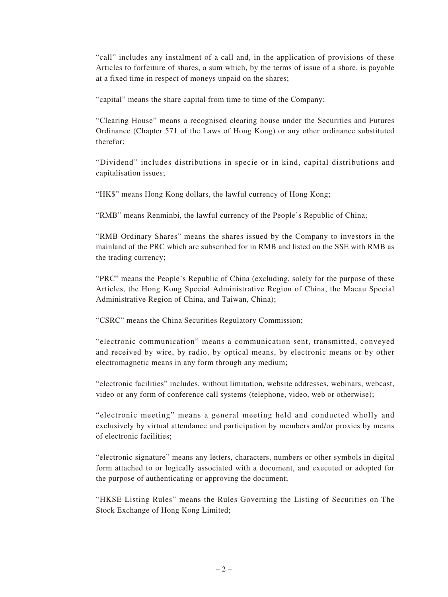"call" includes any instalment of a call and, in the application of provisions of these Articles to forfeiture of shares, a sum which, by the terms of issue of a share, is payable at a fixed time in respect of moneys unpaid on the shares;

"capital" means the share capital from time to time of the Company;

"Clearing House" means a recognised clearing house under the Securities and Futures Ordinance (Chapter 571 of the Laws of Hong Kong) or any other ordinance substituted therefor;

"Dividend" includes distributions in specie or in kind, capital distributions and capitalisation issues;

"HK\$" means Hong Kong dollars, the lawful currency of Hong Kong;

"RMB" means Renminbi, the lawful currency of the People's Republic of China;

"RMB Ordinary Shares" means the shares issued by the Company to investors in the mainland of the PRC which are subscribed for in RMB and listed on the SSE with RMB as the trading currency;

"PRC" means the People's Republic of China (excluding, solely for the purpose of these Articles, the Hong Kong Special Administrative Region of China, the Macau Special Administrative Region of China, and Taiwan, China);

"CSRC" means the China Securities Regulatory Commission;

"electronic communication" means a communication sent, transmitted, conveyed and received by wire, by radio, by optical means, by electronic means or by other electromagnetic means in any form through any medium;

"electronic facilities" includes, without limitation, website addresses, webinars, webcast, video or any form of conference call systems (telephone, video, web or otherwise);

"electronic meeting" means a general meeting held and conducted wholly and exclusively by virtual attendance and participation by members and/or proxies by means of electronic facilities;

"electronic signature" means any letters, characters, numbers or other symbols in digital form attached to or logically associated with a document, and executed or adopted for the purpose of authenticating or approving the document;

"HKSE Listing Rules" means the Rules Governing the Listing of Securities on The Stock Exchange of Hong Kong Limited;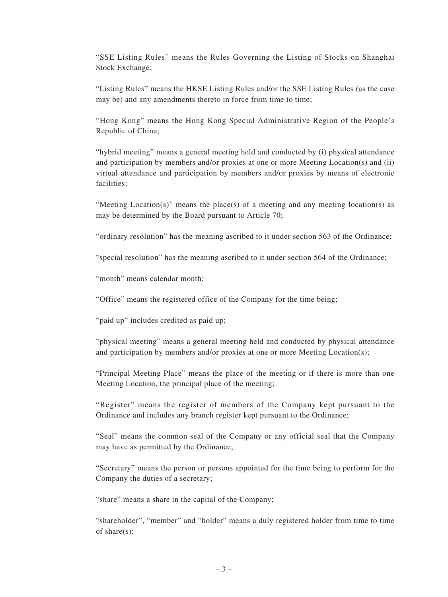"SSE Listing Rules" means the Rules Governing the Listing of Stocks on Shanghai Stock Exchange;

"Listing Rules" means the HKSE Listing Rules and/or the SSE Listing Rules (as the case may be) and any amendments thereto in force from time to time;

"Hong Kong" means the Hong Kong Special Administrative Region of the People's Republic of China;

"hybrid meeting" means a general meeting held and conducted by (i) physical attendance and participation by members and/or proxies at one or more Meeting Location(s) and (ii) virtual attendance and participation by members and/or proxies by means of electronic facilities;

"Meeting Location(s)" means the place(s) of a meeting and any meeting location(s) as may be determined by the Board pursuant to Article 70;

"ordinary resolution" has the meaning ascribed to it under section 563 of the Ordinance;

"special resolution" has the meaning ascribed to it under section 564 of the Ordinance;

"month" means calendar month;

"Office" means the registered office of the Company for the time being;

"paid up" includes credited as paid up;

"physical meeting" means a general meeting held and conducted by physical attendance and participation by members and/or proxies at one or more Meeting Location(s);

"Principal Meeting Place" means the place of the meeting or if there is more than one Meeting Location, the principal place of the meeting;

"Register" means the register of members of the Company kept pursuant to the Ordinance and includes any branch register kept pursuant to the Ordinance;

"Seal" means the common seal of the Company or any official seal that the Company may have as permitted by the Ordinance;

"Secretary" means the person or persons appointed for the time being to perform for the Company the duties of a secretary;

"share" means a share in the capital of the Company;

"shareholder", "member" and "holder" means a duly registered holder from time to time of share(s);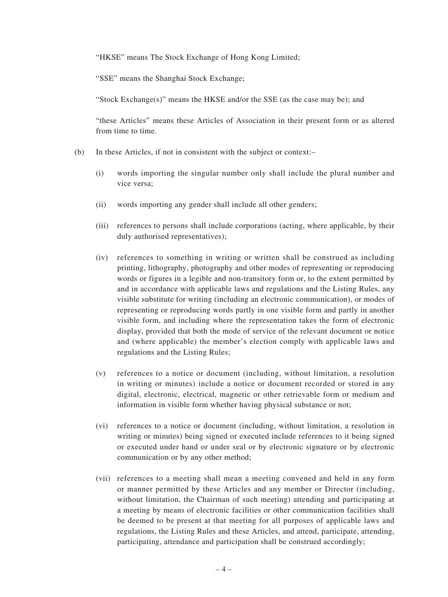"HKSE" means The Stock Exchange of Hong Kong Limited;

"SSE" means the Shanghai Stock Exchange;

"Stock Exchange(s)" means the HKSE and/or the SSE (as the case may be); and

"these Articles" means these Articles of Association in their present form or as altered from time to time.

- (b) In these Articles, if not in consistent with the subject or context:–
	- (i) words importing the singular number only shall include the plural number and vice versa;
	- (ii) words importing any gender shall include all other genders;
	- (iii) references to persons shall include corporations (acting, where applicable, by their duly authorised representatives);
	- (iv) references to something in writing or written shall be construed as including printing, lithography, photography and other modes of representing or reproducing words or figures in a legible and non-transitory form or, to the extent permitted by and in accordance with applicable laws and regulations and the Listing Rules, any visible substitute for writing (including an electronic communication), or modes of representing or reproducing words partly in one visible form and partly in another visible form, and including where the representation takes the form of electronic display, provided that both the mode of service of the relevant document or notice and (where applicable) the member's election comply with applicable laws and regulations and the Listing Rules;
	- (v) references to a notice or document (including, without limitation, a resolution in writing or minutes) include a notice or document recorded or stored in any digital, electronic, electrical, magnetic or other retrievable form or medium and information in visible form whether having physical substance or not;
	- (vi) references to a notice or document (including, without limitation, a resolution in writing or minutes) being signed or executed include references to it being signed or executed under hand or under seal or by electronic signature or by electronic communication or by any other method;
	- (vii) references to a meeting shall mean a meeting convened and held in any form or manner permitted by these Articles and any member or Director (including, without limitation, the Chairman of such meeting) attending and participating at a meeting by means of electronic facilities or other communication facilities shall be deemed to be present at that meeting for all purposes of applicable laws and regulations, the Listing Rules and these Articles, and attend, participate, attending, participating, attendance and participation shall be construed accordingly;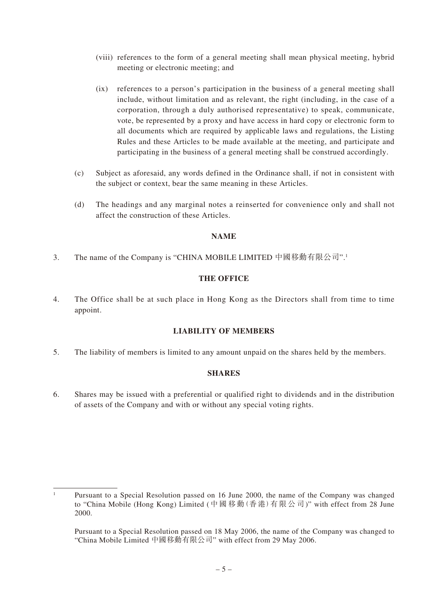- (viii) references to the form of a general meeting shall mean physical meeting, hybrid meeting or electronic meeting; and
- (ix) references to a person's participation in the business of a general meeting shall include, without limitation and as relevant, the right (including, in the case of a corporation, through a duly authorised representative) to speak, communicate, vote, be represented by a proxy and have access in hard copy or electronic form to all documents which are required by applicable laws and regulations, the Listing Rules and these Articles to be made available at the meeting, and participate and participating in the business of a general meeting shall be construed accordingly.
- (c) Subject as aforesaid, any words defined in the Ordinance shall, if not in consistent with the subject or context, bear the same meaning in these Articles.
- (d) The headings and any marginal notes a reinserted for convenience only and shall not affect the construction of these Articles.

# **NAME**

3. The name of the Company is "CHINA MOBILE LIMITED 中國移動有限公司".1

# **THE OFFICE**

4. The Office shall be at such place in Hong Kong as the Directors shall from time to time appoint.

# **LIABILITY OF MEMBERS**

5. The liability of members is limited to any amount unpaid on the shares held by the members.

# **SHARES**

6. Shares may be issued with a preferential or qualified right to dividends and in the distribution of assets of the Company and with or without any special voting rights.

<sup>1</sup> Pursuant to a Special Resolution passed on 16 June 2000, the name of the Company was changed to "China Mobile (Hong Kong) Limited (中國移動(香港)有限公司)" with effect from 28 June 2000.

Pursuant to a Special Resolution passed on 18 May 2006, the name of the Company was changed to "China Mobile Limited 中國移動有限公司" with effect from 29 May 2006.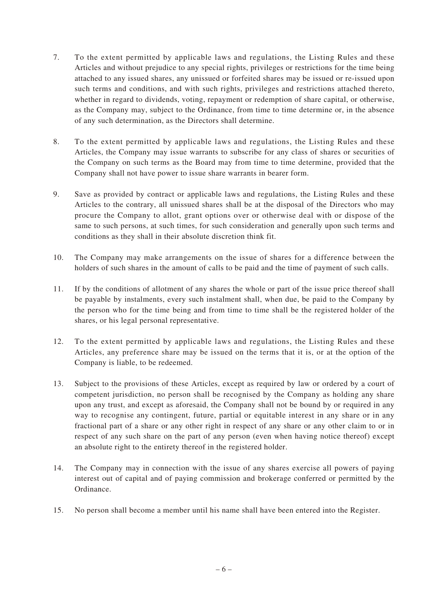- 7. To the extent permitted by applicable laws and regulations, the Listing Rules and these Articles and without prejudice to any special rights, privileges or restrictions for the time being attached to any issued shares, any unissued or forfeited shares may be issued or re-issued upon such terms and conditions, and with such rights, privileges and restrictions attached thereto, whether in regard to dividends, voting, repayment or redemption of share capital, or otherwise, as the Company may, subject to the Ordinance, from time to time determine or, in the absence of any such determination, as the Directors shall determine.
- 8. To the extent permitted by applicable laws and regulations, the Listing Rules and these Articles, the Company may issue warrants to subscribe for any class of shares or securities of the Company on such terms as the Board may from time to time determine, provided that the Company shall not have power to issue share warrants in bearer form.
- 9. Save as provided by contract or applicable laws and regulations, the Listing Rules and these Articles to the contrary, all unissued shares shall be at the disposal of the Directors who may procure the Company to allot, grant options over or otherwise deal with or dispose of the same to such persons, at such times, for such consideration and generally upon such terms and conditions as they shall in their absolute discretion think fit.
- 10. The Company may make arrangements on the issue of shares for a difference between the holders of such shares in the amount of calls to be paid and the time of payment of such calls.
- 11. If by the conditions of allotment of any shares the whole or part of the issue price thereof shall be payable by instalments, every such instalment shall, when due, be paid to the Company by the person who for the time being and from time to time shall be the registered holder of the shares, or his legal personal representative.
- 12. To the extent permitted by applicable laws and regulations, the Listing Rules and these Articles, any preference share may be issued on the terms that it is, or at the option of the Company is liable, to be redeemed.
- 13. Subject to the provisions of these Articles, except as required by law or ordered by a court of competent jurisdiction, no person shall be recognised by the Company as holding any share upon any trust, and except as aforesaid, the Company shall not be bound by or required in any way to recognise any contingent, future, partial or equitable interest in any share or in any fractional part of a share or any other right in respect of any share or any other claim to or in respect of any such share on the part of any person (even when having notice thereof) except an absolute right to the entirety thereof in the registered holder.
- 14. The Company may in connection with the issue of any shares exercise all powers of paying interest out of capital and of paying commission and brokerage conferred or permitted by the Ordinance.
- 15. No person shall become a member until his name shall have been entered into the Register.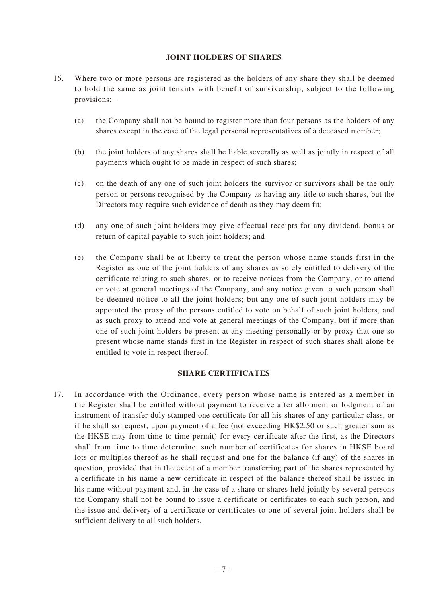#### **JOINT HOLDERS OF SHARES**

- 16. Where two or more persons are registered as the holders of any share they shall be deemed to hold the same as joint tenants with benefit of survivorship, subject to the following provisions:–
	- (a) the Company shall not be bound to register more than four persons as the holders of any shares except in the case of the legal personal representatives of a deceased member;
	- (b) the joint holders of any shares shall be liable severally as well as jointly in respect of all payments which ought to be made in respect of such shares;
	- (c) on the death of any one of such joint holders the survivor or survivors shall be the only person or persons recognised by the Company as having any title to such shares, but the Directors may require such evidence of death as they may deem fit;
	- (d) any one of such joint holders may give effectual receipts for any dividend, bonus or return of capital payable to such joint holders; and
	- (e) the Company shall be at liberty to treat the person whose name stands first in the Register as one of the joint holders of any shares as solely entitled to delivery of the certificate relating to such shares, or to receive notices from the Company, or to attend or vote at general meetings of the Company, and any notice given to such person shall be deemed notice to all the joint holders; but any one of such joint holders may be appointed the proxy of the persons entitled to vote on behalf of such joint holders, and as such proxy to attend and vote at general meetings of the Company, but if more than one of such joint holders be present at any meeting personally or by proxy that one so present whose name stands first in the Register in respect of such shares shall alone be entitled to vote in respect thereof.

### **SHARE CERTIFICATES**

17. In accordance with the Ordinance, every person whose name is entered as a member in the Register shall be entitled without payment to receive after allotment or lodgment of an instrument of transfer duly stamped one certificate for all his shares of any particular class, or if he shall so request, upon payment of a fee (not exceeding HK\$2.50 or such greater sum as the HKSE may from time to time permit) for every certificate after the first, as the Directors shall from time to time determine, such number of certificates for shares in HKSE board lots or multiples thereof as he shall request and one for the balance (if any) of the shares in question, provided that in the event of a member transferring part of the shares represented by a certificate in his name a new certificate in respect of the balance thereof shall be issued in his name without payment and, in the case of a share or shares held jointly by several persons the Company shall not be bound to issue a certificate or certificates to each such person, and the issue and delivery of a certificate or certificates to one of several joint holders shall be sufficient delivery to all such holders.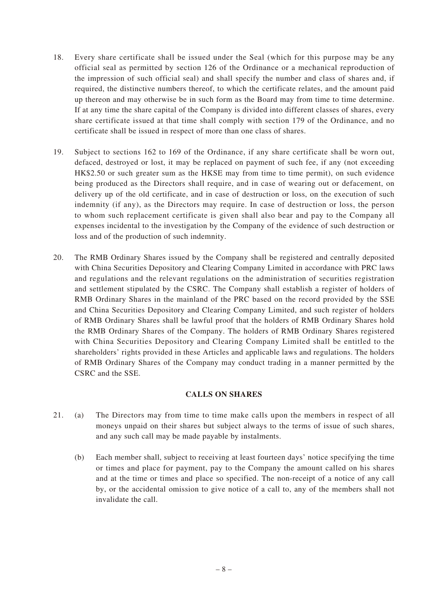- 18. Every share certificate shall be issued under the Seal (which for this purpose may be any official seal as permitted by section 126 of the Ordinance or a mechanical reproduction of the impression of such official seal) and shall specify the number and class of shares and, if required, the distinctive numbers thereof, to which the certificate relates, and the amount paid up thereon and may otherwise be in such form as the Board may from time to time determine. If at any time the share capital of the Company is divided into different classes of shares, every share certificate issued at that time shall comply with section 179 of the Ordinance, and no certificate shall be issued in respect of more than one class of shares.
- 19. Subject to sections 162 to 169 of the Ordinance, if any share certificate shall be worn out, defaced, destroyed or lost, it may be replaced on payment of such fee, if any (not exceeding HK\$2.50 or such greater sum as the HKSE may from time to time permit), on such evidence being produced as the Directors shall require, and in case of wearing out or defacement, on delivery up of the old certificate, and in case of destruction or loss, on the execution of such indemnity (if any), as the Directors may require. In case of destruction or loss, the person to whom such replacement certificate is given shall also bear and pay to the Company all expenses incidental to the investigation by the Company of the evidence of such destruction or loss and of the production of such indemnity.
- 20. The RMB Ordinary Shares issued by the Company shall be registered and centrally deposited with China Securities Depository and Clearing Company Limited in accordance with PRC laws and regulations and the relevant regulations on the administration of securities registration and settlement stipulated by the CSRC. The Company shall establish a register of holders of RMB Ordinary Shares in the mainland of the PRC based on the record provided by the SSE and China Securities Depository and Clearing Company Limited, and such register of holders of RMB Ordinary Shares shall be lawful proof that the holders of RMB Ordinary Shares hold the RMB Ordinary Shares of the Company. The holders of RMB Ordinary Shares registered with China Securities Depository and Clearing Company Limited shall be entitled to the shareholders' rights provided in these Articles and applicable laws and regulations. The holders of RMB Ordinary Shares of the Company may conduct trading in a manner permitted by the CSRC and the SSE.

# **CALLS ON SHARES**

- 21. (a) The Directors may from time to time make calls upon the members in respect of all moneys unpaid on their shares but subject always to the terms of issue of such shares, and any such call may be made payable by instalments.
	- (b) Each member shall, subject to receiving at least fourteen days' notice specifying the time or times and place for payment, pay to the Company the amount called on his shares and at the time or times and place so specified. The non-receipt of a notice of any call by, or the accidental omission to give notice of a call to, any of the members shall not invalidate the call.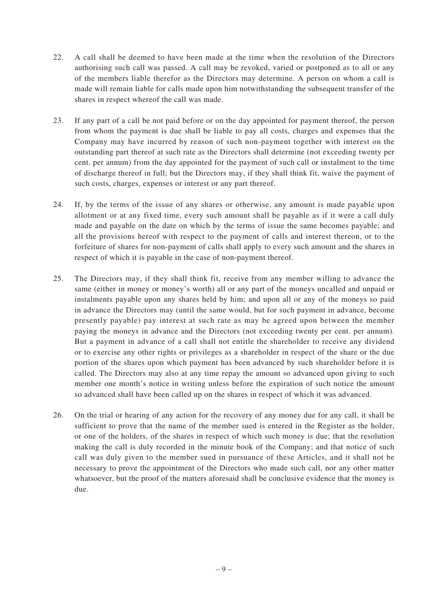- 22. A call shall be deemed to have been made at the time when the resolution of the Directors authorising such call was passed. A call may be revoked, varied or postponed as to all or any of the members liable therefor as the Directors may determine. A person on whom a call is made will remain liable for calls made upon him notwithstanding the subsequent transfer of the shares in respect whereof the call was made.
- 23. If any part of a call be not paid before or on the day appointed for payment thereof, the person from whom the payment is due shall be liable to pay all costs, charges and expenses that the Company may have incurred by reason of such non-payment together with interest on the outstanding part thereof at such rate as the Directors shall determine (not exceeding twenty per cent. per annum) from the day appointed for the payment of such call or instalment to the time of discharge thereof in full; but the Directors may, if they shall think fit, waive the payment of such costs, charges, expenses or interest or any part thereof.
- 24. If, by the terms of the issue of any shares or otherwise, any amount is made payable upon allotment or at any fixed time, every such amount shall be payable as if it were a call duly made and payable on the date on which by the terms of issue the same becomes payable; and all the provisions hereof with respect to the payment of calls and interest thereon, or to the forfeiture of shares for non-payment of calls shall apply to every such amount and the shares in respect of which it is payable in the case of non-payment thereof.
- 25. The Directors may, if they shall think fit, receive from any member willing to advance the same (either in money or money's worth) all or any part of the moneys uncalled and unpaid or instalments payable upon any shares held by him; and upon all or any of the moneys so paid in advance the Directors may (until the same would, but for such payment in advance, become presently payable) pay interest at such rate as may be agreed upon between the member paying the moneys in advance and the Directors (not exceeding twenty per cent. per annum). But a payment in advance of a call shall not entitle the shareholder to receive any dividend or to exercise any other rights or privileges as a shareholder in respect of the share or the due portion of the shares upon which payment has been advanced by such shareholder before it is called. The Directors may also at any time repay the amount so advanced upon giving to such member one month's notice in writing unless before the expiration of such notice the amount so advanced shall have been called up on the shares in respect of which it was advanced.
- 26. On the trial or hearing of any action for the recovery of any money due for any call, it shall be sufficient to prove that the name of the member sued is entered in the Register as the holder, or one of the holders, of the shares in respect of which such money is due; that the resolution making the call is duly recorded in the minute book of the Company; and that notice of such call was duly given to the member sued in pursuance of these Articles, and it shall not be necessary to prove the appointment of the Directors who made such call, nor any other matter whatsoever, but the proof of the matters aforesaid shall be conclusive evidence that the money is due.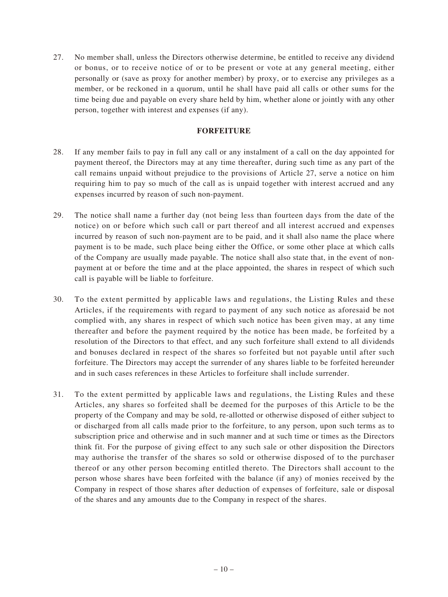27. No member shall, unless the Directors otherwise determine, be entitled to receive any dividend or bonus, or to receive notice of or to be present or vote at any general meeting, either personally or (save as proxy for another member) by proxy, or to exercise any privileges as a member, or be reckoned in a quorum, until he shall have paid all calls or other sums for the time being due and payable on every share held by him, whether alone or jointly with any other person, together with interest and expenses (if any).

## **FORFEITURE**

- 28. If any member fails to pay in full any call or any instalment of a call on the day appointed for payment thereof, the Directors may at any time thereafter, during such time as any part of the call remains unpaid without prejudice to the provisions of Article 27, serve a notice on him requiring him to pay so much of the call as is unpaid together with interest accrued and any expenses incurred by reason of such non-payment.
- 29. The notice shall name a further day (not being less than fourteen days from the date of the notice) on or before which such call or part thereof and all interest accrued and expenses incurred by reason of such non-payment are to be paid, and it shall also name the place where payment is to be made, such place being either the Office, or some other place at which calls of the Company are usually made payable. The notice shall also state that, in the event of nonpayment at or before the time and at the place appointed, the shares in respect of which such call is payable will be liable to forfeiture.
- 30. To the extent permitted by applicable laws and regulations, the Listing Rules and these Articles, if the requirements with regard to payment of any such notice as aforesaid be not complied with, any shares in respect of which such notice has been given may, at any time thereafter and before the payment required by the notice has been made, be forfeited by a resolution of the Directors to that effect, and any such forfeiture shall extend to all dividends and bonuses declared in respect of the shares so forfeited but not payable until after such forfeiture. The Directors may accept the surrender of any shares liable to be forfeited hereunder and in such cases references in these Articles to forfeiture shall include surrender.
- 31. To the extent permitted by applicable laws and regulations, the Listing Rules and these Articles, any shares so forfeited shall be deemed for the purposes of this Article to be the property of the Company and may be sold, re-allotted or otherwise disposed of either subject to or discharged from all calls made prior to the forfeiture, to any person, upon such terms as to subscription price and otherwise and in such manner and at such time or times as the Directors think fit. For the purpose of giving effect to any such sale or other disposition the Directors may authorise the transfer of the shares so sold or otherwise disposed of to the purchaser thereof or any other person becoming entitled thereto. The Directors shall account to the person whose shares have been forfeited with the balance (if any) of monies received by the Company in respect of those shares after deduction of expenses of forfeiture, sale or disposal of the shares and any amounts due to the Company in respect of the shares.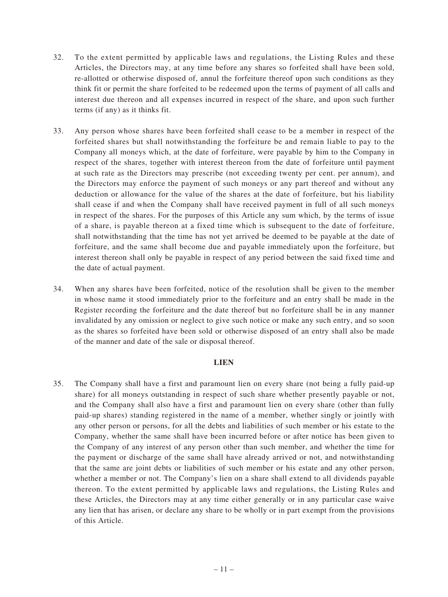- 32. To the extent permitted by applicable laws and regulations, the Listing Rules and these Articles, the Directors may, at any time before any shares so forfeited shall have been sold, re-allotted or otherwise disposed of, annul the forfeiture thereof upon such conditions as they think fit or permit the share forfeited to be redeemed upon the terms of payment of all calls and interest due thereon and all expenses incurred in respect of the share, and upon such further terms (if any) as it thinks fit.
- 33. Any person whose shares have been forfeited shall cease to be a member in respect of the forfeited shares but shall notwithstanding the forfeiture be and remain liable to pay to the Company all moneys which, at the date of forfeiture, were payable by him to the Company in respect of the shares, together with interest thereon from the date of forfeiture until payment at such rate as the Directors may prescribe (not exceeding twenty per cent. per annum), and the Directors may enforce the payment of such moneys or any part thereof and without any deduction or allowance for the value of the shares at the date of forfeiture, but his liability shall cease if and when the Company shall have received payment in full of all such moneys in respect of the shares. For the purposes of this Article any sum which, by the terms of issue of a share, is payable thereon at a fixed time which is subsequent to the date of forfeiture, shall notwithstanding that the time has not yet arrived be deemed to be payable at the date of forfeiture, and the same shall become due and payable immediately upon the forfeiture, but interest thereon shall only be payable in respect of any period between the said fixed time and the date of actual payment.
- 34. When any shares have been forfeited, notice of the resolution shall be given to the member in whose name it stood immediately prior to the forfeiture and an entry shall be made in the Register recording the forfeiture and the date thereof but no forfeiture shall be in any manner invalidated by any omission or neglect to give such notice or make any such entry, and so soon as the shares so forfeited have been sold or otherwise disposed of an entry shall also be made of the manner and date of the sale or disposal thereof.

#### **LIEN**

35. The Company shall have a first and paramount lien on every share (not being a fully paid-up share) for all moneys outstanding in respect of such share whether presently payable or not, and the Company shall also have a first and paramount lien on every share (other than fully paid-up shares) standing registered in the name of a member, whether singly or jointly with any other person or persons, for all the debts and liabilities of such member or his estate to the Company, whether the same shall have been incurred before or after notice has been given to the Company of any interest of any person other than such member, and whether the time for the payment or discharge of the same shall have already arrived or not, and notwithstanding that the same are joint debts or liabilities of such member or his estate and any other person, whether a member or not. The Company's lien on a share shall extend to all dividends payable thereon. To the extent permitted by applicable laws and regulations, the Listing Rules and these Articles, the Directors may at any time either generally or in any particular case waive any lien that has arisen, or declare any share to be wholly or in part exempt from the provisions of this Article.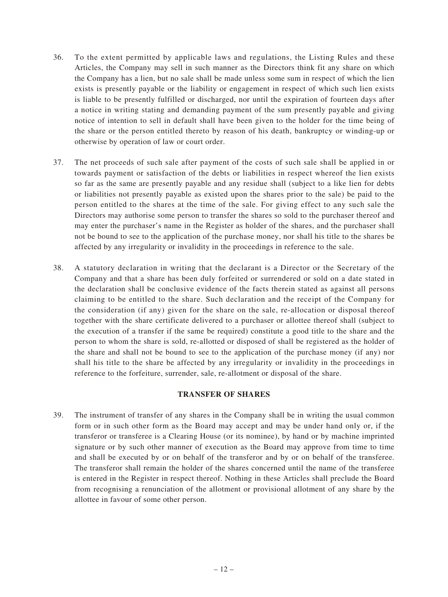- 36. To the extent permitted by applicable laws and regulations, the Listing Rules and these Articles, the Company may sell in such manner as the Directors think fit any share on which the Company has a lien, but no sale shall be made unless some sum in respect of which the lien exists is presently payable or the liability or engagement in respect of which such lien exists is liable to be presently fulfilled or discharged, nor until the expiration of fourteen days after a notice in writing stating and demanding payment of the sum presently payable and giving notice of intention to sell in default shall have been given to the holder for the time being of the share or the person entitled thereto by reason of his death, bankruptcy or winding-up or otherwise by operation of law or court order.
- 37. The net proceeds of such sale after payment of the costs of such sale shall be applied in or towards payment or satisfaction of the debts or liabilities in respect whereof the lien exists so far as the same are presently payable and any residue shall (subject to a like lien for debts or liabilities not presently payable as existed upon the shares prior to the sale) be paid to the person entitled to the shares at the time of the sale. For giving effect to any such sale the Directors may authorise some person to transfer the shares so sold to the purchaser thereof and may enter the purchaser's name in the Register as holder of the shares, and the purchaser shall not be bound to see to the application of the purchase money, nor shall his title to the shares be affected by any irregularity or invalidity in the proceedings in reference to the sale.
- 38. A statutory declaration in writing that the declarant is a Director or the Secretary of the Company and that a share has been duly forfeited or surrendered or sold on a date stated in the declaration shall be conclusive evidence of the facts therein stated as against all persons claiming to be entitled to the share. Such declaration and the receipt of the Company for the consideration (if any) given for the share on the sale, re-allocation or disposal thereof together with the share certificate delivered to a purchaser or allottee thereof shall (subject to the execution of a transfer if the same be required) constitute a good title to the share and the person to whom the share is sold, re-allotted or disposed of shall be registered as the holder of the share and shall not be bound to see to the application of the purchase money (if any) nor shall his title to the share be affected by any irregularity or invalidity in the proceedings in reference to the forfeiture, surrender, sale, re-allotment or disposal of the share.

# **TRANSFER OF SHARES**

39. The instrument of transfer of any shares in the Company shall be in writing the usual common form or in such other form as the Board may accept and may be under hand only or, if the transferor or transferee is a Clearing House (or its nominee), by hand or by machine imprinted signature or by such other manner of execution as the Board may approve from time to time and shall be executed by or on behalf of the transferor and by or on behalf of the transferee. The transferor shall remain the holder of the shares concerned until the name of the transferee is entered in the Register in respect thereof. Nothing in these Articles shall preclude the Board from recognising a renunciation of the allotment or provisional allotment of any share by the allottee in favour of some other person.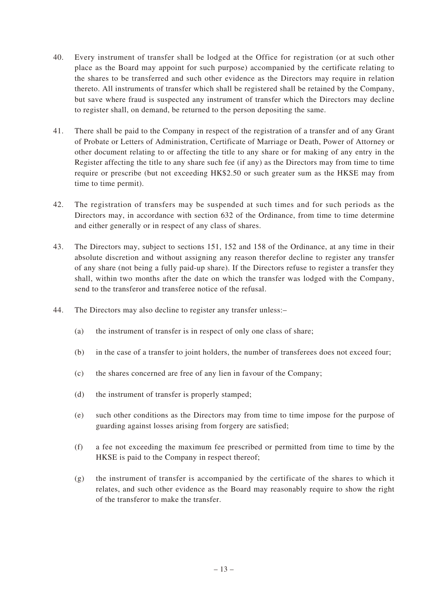- 40. Every instrument of transfer shall be lodged at the Office for registration (or at such other place as the Board may appoint for such purpose) accompanied by the certificate relating to the shares to be transferred and such other evidence as the Directors may require in relation thereto. All instruments of transfer which shall be registered shall be retained by the Company, but save where fraud is suspected any instrument of transfer which the Directors may decline to register shall, on demand, be returned to the person depositing the same.
- 41. There shall be paid to the Company in respect of the registration of a transfer and of any Grant of Probate or Letters of Administration, Certificate of Marriage or Death, Power of Attorney or other document relating to or affecting the title to any share or for making of any entry in the Register affecting the title to any share such fee (if any) as the Directors may from time to time require or prescribe (but not exceeding HK\$2.50 or such greater sum as the HKSE may from time to time permit).
- 42. The registration of transfers may be suspended at such times and for such periods as the Directors may, in accordance with section 632 of the Ordinance, from time to time determine and either generally or in respect of any class of shares.
- 43. The Directors may, subject to sections 151, 152 and 158 of the Ordinance, at any time in their absolute discretion and without assigning any reason therefor decline to register any transfer of any share (not being a fully paid-up share). If the Directors refuse to register a transfer they shall, within two months after the date on which the transfer was lodged with the Company, send to the transferor and transferee notice of the refusal.
- 44. The Directors may also decline to register any transfer unless:–
	- (a) the instrument of transfer is in respect of only one class of share;
	- (b) in the case of a transfer to joint holders, the number of transferees does not exceed four;
	- (c) the shares concerned are free of any lien in favour of the Company;
	- (d) the instrument of transfer is properly stamped;
	- (e) such other conditions as the Directors may from time to time impose for the purpose of guarding against losses arising from forgery are satisfied;
	- (f) a fee not exceeding the maximum fee prescribed or permitted from time to time by the HKSE is paid to the Company in respect thereof;
	- (g) the instrument of transfer is accompanied by the certificate of the shares to which it relates, and such other evidence as the Board may reasonably require to show the right of the transferor to make the transfer.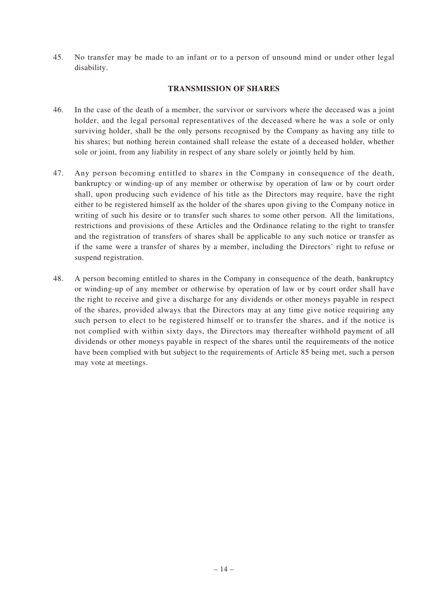45. No transfer may be made to an infant or to a person of unsound mind or under other legal disability.

# **TRANSMISSION OF SHARES**

- 46. In the case of the death of a member, the survivor or survivors where the deceased was a joint holder, and the legal personal representatives of the deceased where he was a sole or only surviving holder, shall be the only persons recognised by the Company as having any title to his shares; but nothing herein contained shall release the estate of a deceased holder, whether sole or joint, from any liability in respect of any share solely or jointly held by him.
- 47. Any person becoming entitled to shares in the Company in consequence of the death, bankruptcy or winding-up of any member or otherwise by operation of law or by court order shall, upon producing such evidence of his title as the Directors may require, have the right either to be registered himself as the holder of the shares upon giving to the Company notice in writing of such his desire or to transfer such shares to some other person. All the limitations, restrictions and provisions of these Articles and the Ordinance relating to the right to transfer and the registration of transfers of shares shall be applicable to any such notice or transfer as if the same were a transfer of shares by a member, including the Directors' right to refuse or suspend registration.
- 48. A person becoming entitled to shares in the Company in consequence of the death, bankruptcy or winding-up of any member or otherwise by operation of law or by court order shall have the right to receive and give a discharge for any dividends or other moneys payable in respect of the shares, provided always that the Directors may at any time give notice requiring any such person to elect to be registered himself or to transfer the shares, and if the notice is not complied with within sixty days, the Directors may thereafter withhold payment of all dividends or other moneys payable in respect of the shares until the requirements of the notice have been complied with but subject to the requirements of Article 85 being met, such a person may vote at meetings.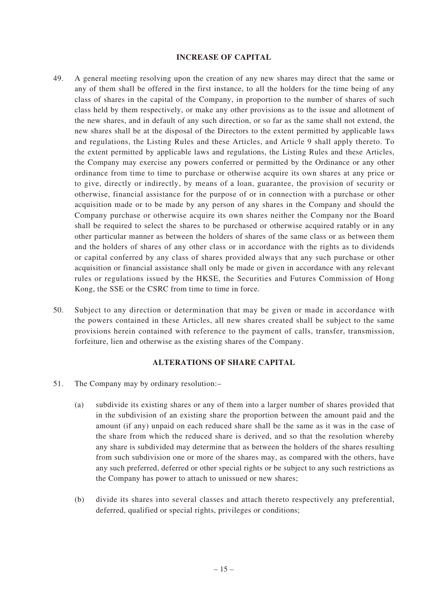#### **INCREASE OF CAPITAL**

- 49. A general meeting resolving upon the creation of any new shares may direct that the same or any of them shall be offered in the first instance, to all the holders for the time being of any class of shares in the capital of the Company, in proportion to the number of shares of such class held by them respectively, or make any other provisions as to the issue and allotment of the new shares, and in default of any such direction, or so far as the same shall not extend, the new shares shall be at the disposal of the Directors to the extent permitted by applicable laws and regulations, the Listing Rules and these Articles, and Article 9 shall apply thereto. To the extent permitted by applicable laws and regulations, the Listing Rules and these Articles, the Company may exercise any powers conferred or permitted by the Ordinance or any other ordinance from time to time to purchase or otherwise acquire its own shares at any price or to give, directly or indirectly, by means of a loan, guarantee, the provision of security or otherwise, financial assistance for the purpose of or in connection with a purchase or other acquisition made or to be made by any person of any shares in the Company and should the Company purchase or otherwise acquire its own shares neither the Company nor the Board shall be required to select the shares to be purchased or otherwise acquired ratably or in any other particular manner as between the holders of shares of the same class or as between them and the holders of shares of any other class or in accordance with the rights as to dividends or capital conferred by any class of shares provided always that any such purchase or other acquisition or financial assistance shall only be made or given in accordance with any relevant rules or regulations issued by the HKSE, the Securities and Futures Commission of Hong Kong, the SSE or the CSRC from time to time in force.
- 50. Subject to any direction or determination that may be given or made in accordance with the powers contained in these Articles, all new shares created shall be subject to the same provisions herein contained with reference to the payment of calls, transfer, transmission, forfeiture, lien and otherwise as the existing shares of the Company.

#### **ALTERATIONS OF SHARE CAPITAL**

- 51. The Company may by ordinary resolution:–
	- (a) subdivide its existing shares or any of them into a larger number of shares provided that in the subdivision of an existing share the proportion between the amount paid and the amount (if any) unpaid on each reduced share shall be the same as it was in the case of the share from which the reduced share is derived, and so that the resolution whereby any share is subdivided may determine that as between the holders of the shares resulting from such subdivision one or more of the shares may, as compared with the others, have any such preferred, deferred or other special rights or be subject to any such restrictions as the Company has power to attach to unissued or new shares;
	- (b) divide its shares into several classes and attach thereto respectively any preferential, deferred, qualified or special rights, privileges or conditions;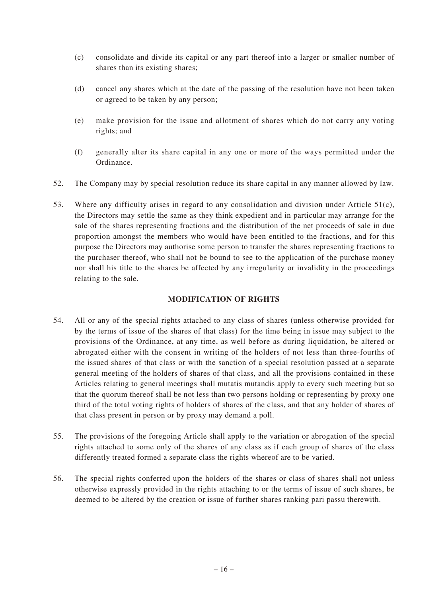- (c) consolidate and divide its capital or any part thereof into a larger or smaller number of shares than its existing shares;
- (d) cancel any shares which at the date of the passing of the resolution have not been taken or agreed to be taken by any person;
- (e) make provision for the issue and allotment of shares which do not carry any voting rights; and
- (f) generally alter its share capital in any one or more of the ways permitted under the Ordinance.
- 52. The Company may by special resolution reduce its share capital in any manner allowed by law.
- 53. Where any difficulty arises in regard to any consolidation and division under Article 51(c), the Directors may settle the same as they think expedient and in particular may arrange for the sale of the shares representing fractions and the distribution of the net proceeds of sale in due proportion amongst the members who would have been entitled to the fractions, and for this purpose the Directors may authorise some person to transfer the shares representing fractions to the purchaser thereof, who shall not be bound to see to the application of the purchase money nor shall his title to the shares be affected by any irregularity or invalidity in the proceedings relating to the sale.

# **MODIFICATION OF RIGHTS**

- 54. All or any of the special rights attached to any class of shares (unless otherwise provided for by the terms of issue of the shares of that class) for the time being in issue may subject to the provisions of the Ordinance, at any time, as well before as during liquidation, be altered or abrogated either with the consent in writing of the holders of not less than three-fourths of the issued shares of that class or with the sanction of a special resolution passed at a separate general meeting of the holders of shares of that class, and all the provisions contained in these Articles relating to general meetings shall mutatis mutandis apply to every such meeting but so that the quorum thereof shall be not less than two persons holding or representing by proxy one third of the total voting rights of holders of shares of the class, and that any holder of shares of that class present in person or by proxy may demand a poll.
- 55. The provisions of the foregoing Article shall apply to the variation or abrogation of the special rights attached to some only of the shares of any class as if each group of shares of the class differently treated formed a separate class the rights whereof are to be varied.
- 56. The special rights conferred upon the holders of the shares or class of shares shall not unless otherwise expressly provided in the rights attaching to or the terms of issue of such shares, be deemed to be altered by the creation or issue of further shares ranking pari passu therewith.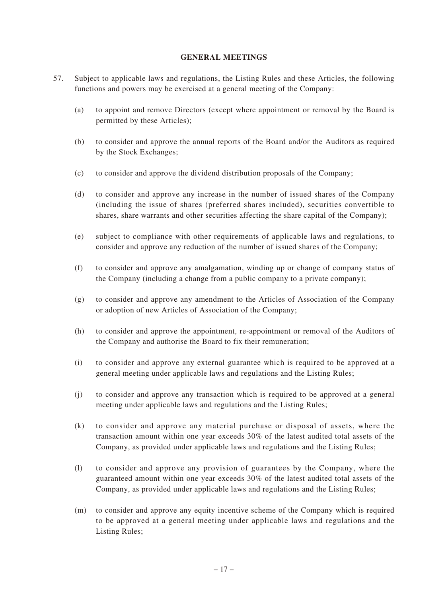## **GENERAL MEETINGS**

- 57. Subject to applicable laws and regulations, the Listing Rules and these Articles, the following functions and powers may be exercised at a general meeting of the Company:
	- (a) to appoint and remove Directors (except where appointment or removal by the Board is permitted by these Articles);
	- (b) to consider and approve the annual reports of the Board and/or the Auditors as required by the Stock Exchanges;
	- (c) to consider and approve the dividend distribution proposals of the Company;
	- (d) to consider and approve any increase in the number of issued shares of the Company (including the issue of shares (preferred shares included), securities convertible to shares, share warrants and other securities affecting the share capital of the Company);
	- (e) subject to compliance with other requirements of applicable laws and regulations, to consider and approve any reduction of the number of issued shares of the Company;
	- (f) to consider and approve any amalgamation, winding up or change of company status of the Company (including a change from a public company to a private company);
	- (g) to consider and approve any amendment to the Articles of Association of the Company or adoption of new Articles of Association of the Company;
	- (h) to consider and approve the appointment, re-appointment or removal of the Auditors of the Company and authorise the Board to fix their remuneration;
	- (i) to consider and approve any external guarantee which is required to be approved at a general meeting under applicable laws and regulations and the Listing Rules;
	- (j) to consider and approve any transaction which is required to be approved at a general meeting under applicable laws and regulations and the Listing Rules;
	- (k) to consider and approve any material purchase or disposal of assets, where the transaction amount within one year exceeds 30% of the latest audited total assets of the Company, as provided under applicable laws and regulations and the Listing Rules;
	- (l) to consider and approve any provision of guarantees by the Company, where the guaranteed amount within one year exceeds 30% of the latest audited total assets of the Company, as provided under applicable laws and regulations and the Listing Rules;
	- (m) to consider and approve any equity incentive scheme of the Company which is required to be approved at a general meeting under applicable laws and regulations and the Listing Rules;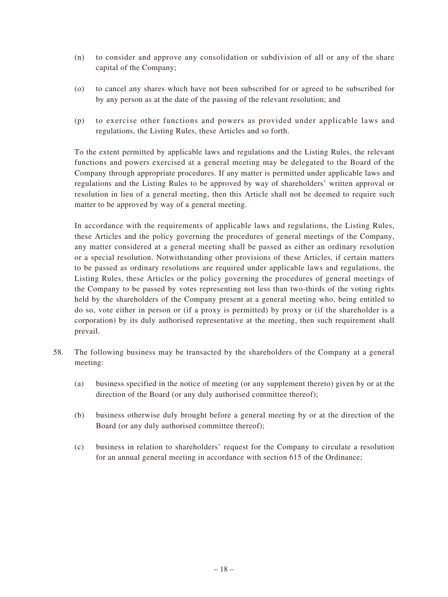- (n) to consider and approve any consolidation or subdivision of all or any of the share capital of the Company;
- (o) to cancel any shares which have not been subscribed for or agreed to be subscribed for by any person as at the date of the passing of the relevant resolution; and
- (p) to exercise other functions and powers as provided under applicable laws and regulations, the Listing Rules, these Articles and so forth.

To the extent permitted by applicable laws and regulations and the Listing Rules, the relevant functions and powers exercised at a general meeting may be delegated to the Board of the Company through appropriate procedures. If any matter is permitted under applicable laws and regulations and the Listing Rules to be approved by way of shareholders' written approval or resolution in lieu of a general meeting, then this Article shall not be deemed to require such matter to be approved by way of a general meeting.

In accordance with the requirements of applicable laws and regulations, the Listing Rules, these Articles and the policy governing the procedures of general meetings of the Company, any matter considered at a general meeting shall be passed as either an ordinary resolution or a special resolution. Notwithstanding other provisions of these Articles, if certain matters to be passed as ordinary resolutions are required under applicable laws and regulations, the Listing Rules, these Articles or the policy governing the procedures of general meetings of the Company to be passed by votes representing not less than two-thirds of the voting rights held by the shareholders of the Company present at a general meeting who, being entitled to do so, vote either in person or (if a proxy is permitted) by proxy or (if the shareholder is a corporation) by its duly authorised representative at the meeting, then such requirement shall prevail.

- 58. The following business may be transacted by the shareholders of the Company at a general meeting:
	- (a) business specified in the notice of meeting (or any supplement thereto) given by or at the direction of the Board (or any duly authorised committee thereof);
	- (b) business otherwise duly brought before a general meeting by or at the direction of the Board (or any duly authorised committee thereof);
	- (c) business in relation to shareholders' request for the Company to circulate a resolution for an annual general meeting in accordance with section 615 of the Ordinance;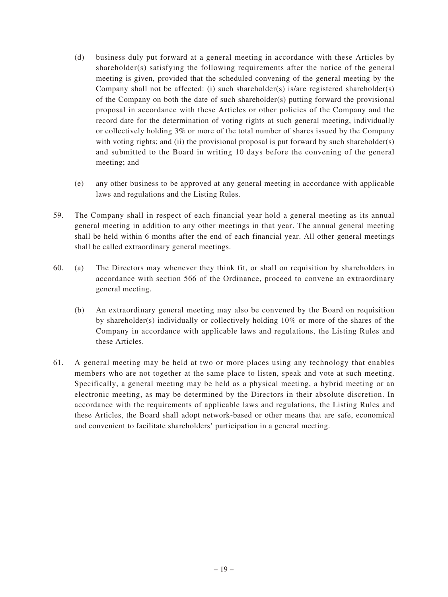- (d) business duly put forward at a general meeting in accordance with these Articles by shareholder(s) satisfying the following requirements after the notice of the general meeting is given, provided that the scheduled convening of the general meeting by the Company shall not be affected: (i) such shareholder(s) is/are registered shareholder(s) of the Company on both the date of such shareholder(s) putting forward the provisional proposal in accordance with these Articles or other policies of the Company and the record date for the determination of voting rights at such general meeting, individually or collectively holding 3% or more of the total number of shares issued by the Company with voting rights; and (ii) the provisional proposal is put forward by such shareholder(s) and submitted to the Board in writing 10 days before the convening of the general meeting; and
- (e) any other business to be approved at any general meeting in accordance with applicable laws and regulations and the Listing Rules.
- 59. The Company shall in respect of each financial year hold a general meeting as its annual general meeting in addition to any other meetings in that year. The annual general meeting shall be held within 6 months after the end of each financial year. All other general meetings shall be called extraordinary general meetings.
- 60. (a) The Directors may whenever they think fit, or shall on requisition by shareholders in accordance with section 566 of the Ordinance, proceed to convene an extraordinary general meeting.
	- (b) An extraordinary general meeting may also be convened by the Board on requisition by shareholder(s) individually or collectively holding 10% or more of the shares of the Company in accordance with applicable laws and regulations, the Listing Rules and these Articles.
- 61. A general meeting may be held at two or more places using any technology that enables members who are not together at the same place to listen, speak and vote at such meeting. Specifically, a general meeting may be held as a physical meeting, a hybrid meeting or an electronic meeting, as may be determined by the Directors in their absolute discretion. In accordance with the requirements of applicable laws and regulations, the Listing Rules and these Articles, the Board shall adopt network-based or other means that are safe, economical and convenient to facilitate shareholders' participation in a general meeting.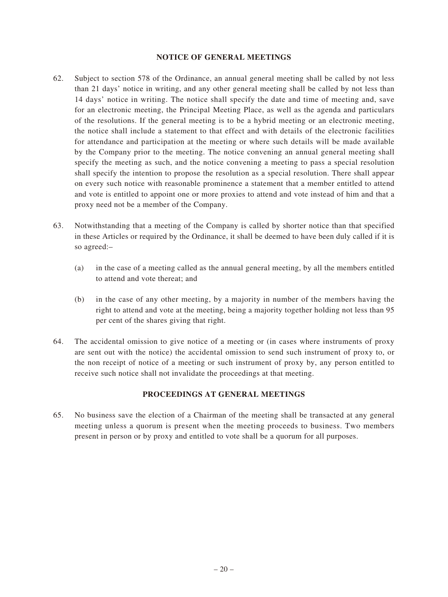#### **NOTICE OF GENERAL MEETINGS**

- 62. Subject to section 578 of the Ordinance, an annual general meeting shall be called by not less than 21 days' notice in writing, and any other general meeting shall be called by not less than 14 days' notice in writing. The notice shall specify the date and time of meeting and, save for an electronic meeting, the Principal Meeting Place, as well as the agenda and particulars of the resolutions. If the general meeting is to be a hybrid meeting or an electronic meeting, the notice shall include a statement to that effect and with details of the electronic facilities for attendance and participation at the meeting or where such details will be made available by the Company prior to the meeting. The notice convening an annual general meeting shall specify the meeting as such, and the notice convening a meeting to pass a special resolution shall specify the intention to propose the resolution as a special resolution. There shall appear on every such notice with reasonable prominence a statement that a member entitled to attend and vote is entitled to appoint one or more proxies to attend and vote instead of him and that a proxy need not be a member of the Company.
- 63. Notwithstanding that a meeting of the Company is called by shorter notice than that specified in these Articles or required by the Ordinance, it shall be deemed to have been duly called if it is so agreed:–
	- (a) in the case of a meeting called as the annual general meeting, by all the members entitled to attend and vote thereat; and
	- (b) in the case of any other meeting, by a majority in number of the members having the right to attend and vote at the meeting, being a majority together holding not less than 95 per cent of the shares giving that right.
- 64. The accidental omission to give notice of a meeting or (in cases where instruments of proxy are sent out with the notice) the accidental omission to send such instrument of proxy to, or the non receipt of notice of a meeting or such instrument of proxy by, any person entitled to receive such notice shall not invalidate the proceedings at that meeting.

# **PROCEEDINGS AT GENERAL MEETINGS**

65. No business save the election of a Chairman of the meeting shall be transacted at any general meeting unless a quorum is present when the meeting proceeds to business. Two members present in person or by proxy and entitled to vote shall be a quorum for all purposes.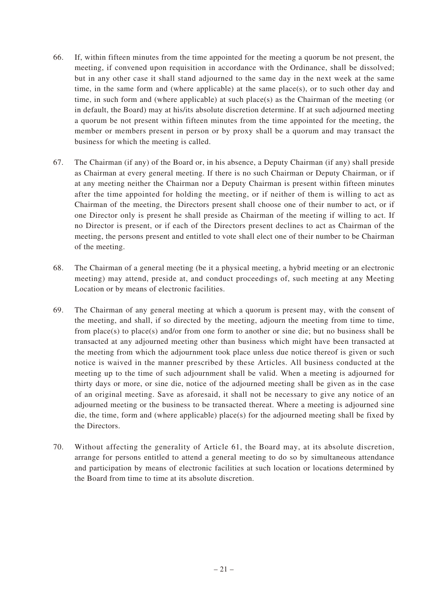- 66. If, within fifteen minutes from the time appointed for the meeting a quorum be not present, the meeting, if convened upon requisition in accordance with the Ordinance, shall be dissolved; but in any other case it shall stand adjourned to the same day in the next week at the same time, in the same form and (where applicable) at the same place(s), or to such other day and time, in such form and (where applicable) at such place(s) as the Chairman of the meeting (or in default, the Board) may at his/its absolute discretion determine. If at such adjourned meeting a quorum be not present within fifteen minutes from the time appointed for the meeting, the member or members present in person or by proxy shall be a quorum and may transact the business for which the meeting is called.
- 67. The Chairman (if any) of the Board or, in his absence, a Deputy Chairman (if any) shall preside as Chairman at every general meeting. If there is no such Chairman or Deputy Chairman, or if at any meeting neither the Chairman nor a Deputy Chairman is present within fifteen minutes after the time appointed for holding the meeting, or if neither of them is willing to act as Chairman of the meeting, the Directors present shall choose one of their number to act, or if one Director only is present he shall preside as Chairman of the meeting if willing to act. If no Director is present, or if each of the Directors present declines to act as Chairman of the meeting, the persons present and entitled to vote shall elect one of their number to be Chairman of the meeting.
- 68. The Chairman of a general meeting (be it a physical meeting, a hybrid meeting or an electronic meeting) may attend, preside at, and conduct proceedings of, such meeting at any Meeting Location or by means of electronic facilities.
- 69. The Chairman of any general meeting at which a quorum is present may, with the consent of the meeting, and shall, if so directed by the meeting, adjourn the meeting from time to time, from place(s) to place(s) and/or from one form to another or sine die; but no business shall be transacted at any adjourned meeting other than business which might have been transacted at the meeting from which the adjournment took place unless due notice thereof is given or such notice is waived in the manner prescribed by these Articles. All business conducted at the meeting up to the time of such adjournment shall be valid. When a meeting is adjourned for thirty days or more, or sine die, notice of the adjourned meeting shall be given as in the case of an original meeting. Save as aforesaid, it shall not be necessary to give any notice of an adjourned meeting or the business to be transacted thereat. Where a meeting is adjourned sine die, the time, form and (where applicable) place(s) for the adjourned meeting shall be fixed by the Directors.
- 70. Without affecting the generality of Article 61, the Board may, at its absolute discretion, arrange for persons entitled to attend a general meeting to do so by simultaneous attendance and participation by means of electronic facilities at such location or locations determined by the Board from time to time at its absolute discretion.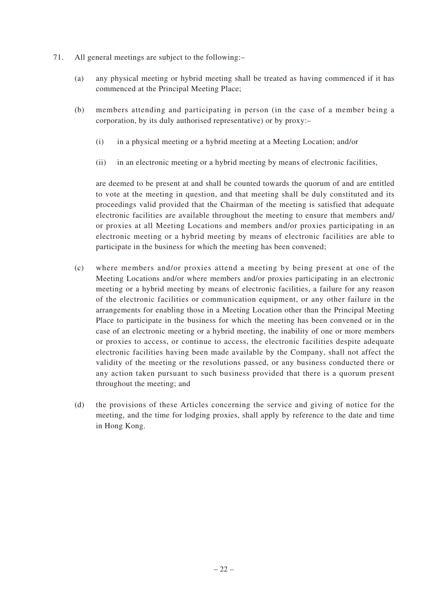- 71. All general meetings are subject to the following:–
	- (a) any physical meeting or hybrid meeting shall be treated as having commenced if it has commenced at the Principal Meeting Place;
	- (b) members attending and participating in person (in the case of a member being a corporation, by its duly authorised representative) or by proxy:–
		- (i) in a physical meeting or a hybrid meeting at a Meeting Location; and/or
		- (ii) in an electronic meeting or a hybrid meeting by means of electronic facilities,

are deemed to be present at and shall be counted towards the quorum of and are entitled to vote at the meeting in question, and that meeting shall be duly constituted and its proceedings valid provided that the Chairman of the meeting is satisfied that adequate electronic facilities are available throughout the meeting to ensure that members and/ or proxies at all Meeting Locations and members and/or proxies participating in an electronic meeting or a hybrid meeting by means of electronic facilities are able to participate in the business for which the meeting has been convened;

- (c) where members and/or proxies attend a meeting by being present at one of the Meeting Locations and/or where members and/or proxies participating in an electronic meeting or a hybrid meeting by means of electronic facilities, a failure for any reason of the electronic facilities or communication equipment, or any other failure in the arrangements for enabling those in a Meeting Location other than the Principal Meeting Place to participate in the business for which the meeting has been convened or in the case of an electronic meeting or a hybrid meeting, the inability of one or more members or proxies to access, or continue to access, the electronic facilities despite adequate electronic facilities having been made available by the Company, shall not affect the validity of the meeting or the resolutions passed, or any business conducted there or any action taken pursuant to such business provided that there is a quorum present throughout the meeting; and
- (d) the provisions of these Articles concerning the service and giving of notice for the meeting, and the time for lodging proxies, shall apply by reference to the date and time in Hong Kong.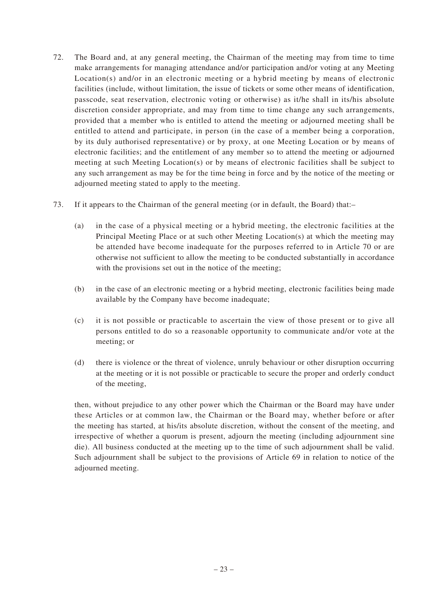- 72. The Board and, at any general meeting, the Chairman of the meeting may from time to time make arrangements for managing attendance and/or participation and/or voting at any Meeting Location(s) and/or in an electronic meeting or a hybrid meeting by means of electronic facilities (include, without limitation, the issue of tickets or some other means of identification, passcode, seat reservation, electronic voting or otherwise) as it/he shall in its/his absolute discretion consider appropriate, and may from time to time change any such arrangements, provided that a member who is entitled to attend the meeting or adjourned meeting shall be entitled to attend and participate, in person (in the case of a member being a corporation, by its duly authorised representative) or by proxy, at one Meeting Location or by means of electronic facilities; and the entitlement of any member so to attend the meeting or adjourned meeting at such Meeting Location(s) or by means of electronic facilities shall be subject to any such arrangement as may be for the time being in force and by the notice of the meeting or adjourned meeting stated to apply to the meeting.
- 73. If it appears to the Chairman of the general meeting (or in default, the Board) that:–
	- (a) in the case of a physical meeting or a hybrid meeting, the electronic facilities at the Principal Meeting Place or at such other Meeting Location(s) at which the meeting may be attended have become inadequate for the purposes referred to in Article 70 or are otherwise not sufficient to allow the meeting to be conducted substantially in accordance with the provisions set out in the notice of the meeting;
	- (b) in the case of an electronic meeting or a hybrid meeting, electronic facilities being made available by the Company have become inadequate;
	- (c) it is not possible or practicable to ascertain the view of those present or to give all persons entitled to do so a reasonable opportunity to communicate and/or vote at the meeting; or
	- (d) there is violence or the threat of violence, unruly behaviour or other disruption occurring at the meeting or it is not possible or practicable to secure the proper and orderly conduct of the meeting,

then, without prejudice to any other power which the Chairman or the Board may have under these Articles or at common law, the Chairman or the Board may, whether before or after the meeting has started, at his/its absolute discretion, without the consent of the meeting, and irrespective of whether a quorum is present, adjourn the meeting (including adjournment sine die). All business conducted at the meeting up to the time of such adjournment shall be valid. Such adjournment shall be subject to the provisions of Article 69 in relation to notice of the adjourned meeting.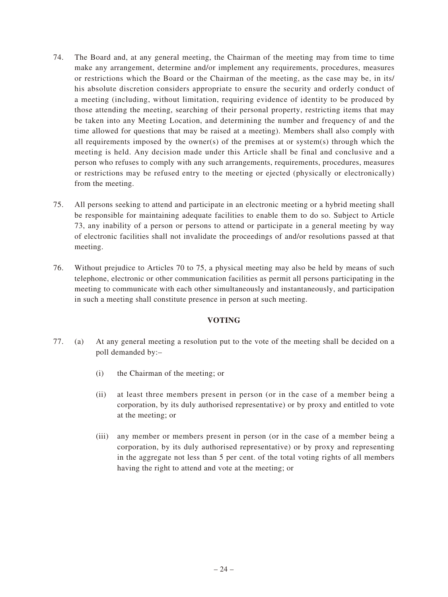- 74. The Board and, at any general meeting, the Chairman of the meeting may from time to time make any arrangement, determine and/or implement any requirements, procedures, measures or restrictions which the Board or the Chairman of the meeting, as the case may be, in its/ his absolute discretion considers appropriate to ensure the security and orderly conduct of a meeting (including, without limitation, requiring evidence of identity to be produced by those attending the meeting, searching of their personal property, restricting items that may be taken into any Meeting Location, and determining the number and frequency of and the time allowed for questions that may be raised at a meeting). Members shall also comply with all requirements imposed by the owner(s) of the premises at or system(s) through which the meeting is held. Any decision made under this Article shall be final and conclusive and a person who refuses to comply with any such arrangements, requirements, procedures, measures or restrictions may be refused entry to the meeting or ejected (physically or electronically) from the meeting.
- 75. All persons seeking to attend and participate in an electronic meeting or a hybrid meeting shall be responsible for maintaining adequate facilities to enable them to do so. Subject to Article 73, any inability of a person or persons to attend or participate in a general meeting by way of electronic facilities shall not invalidate the proceedings of and/or resolutions passed at that meeting.
- 76. Without prejudice to Articles 70 to 75, a physical meeting may also be held by means of such telephone, electronic or other communication facilities as permit all persons participating in the meeting to communicate with each other simultaneously and instantaneously, and participation in such a meeting shall constitute presence in person at such meeting.

# **VOTING**

- 77. (a) At any general meeting a resolution put to the vote of the meeting shall be decided on a poll demanded by:–
	- (i) the Chairman of the meeting; or
	- (ii) at least three members present in person (or in the case of a member being a corporation, by its duly authorised representative) or by proxy and entitled to vote at the meeting; or
	- (iii) any member or members present in person (or in the case of a member being a corporation, by its duly authorised representative) or by proxy and representing in the aggregate not less than 5 per cent. of the total voting rights of all members having the right to attend and vote at the meeting; or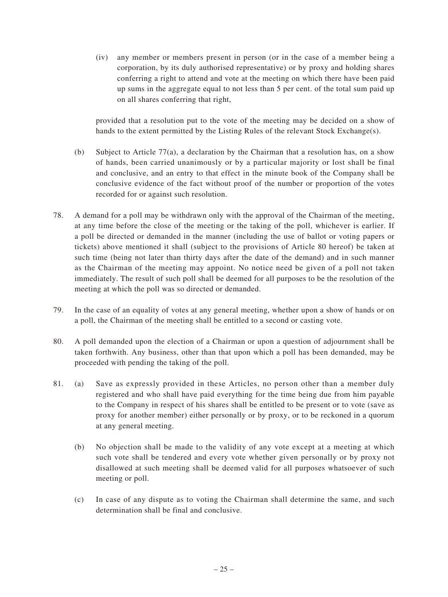(iv) any member or members present in person (or in the case of a member being a corporation, by its duly authorised representative) or by proxy and holding shares conferring a right to attend and vote at the meeting on which there have been paid up sums in the aggregate equal to not less than 5 per cent. of the total sum paid up on all shares conferring that right,

provided that a resolution put to the vote of the meeting may be decided on a show of hands to the extent permitted by the Listing Rules of the relevant Stock Exchange(s).

- (b) Subject to Article 77(a), a declaration by the Chairman that a resolution has, on a show of hands, been carried unanimously or by a particular majority or lost shall be final and conclusive, and an entry to that effect in the minute book of the Company shall be conclusive evidence of the fact without proof of the number or proportion of the votes recorded for or against such resolution.
- 78. A demand for a poll may be withdrawn only with the approval of the Chairman of the meeting, at any time before the close of the meeting or the taking of the poll, whichever is earlier. If a poll be directed or demanded in the manner (including the use of ballot or voting papers or tickets) above mentioned it shall (subject to the provisions of Article 80 hereof) be taken at such time (being not later than thirty days after the date of the demand) and in such manner as the Chairman of the meeting may appoint. No notice need be given of a poll not taken immediately. The result of such poll shall be deemed for all purposes to be the resolution of the meeting at which the poll was so directed or demanded.
- 79. In the case of an equality of votes at any general meeting, whether upon a show of hands or on a poll, the Chairman of the meeting shall be entitled to a second or casting vote.
- 80. A poll demanded upon the election of a Chairman or upon a question of adjournment shall be taken forthwith. Any business, other than that upon which a poll has been demanded, may be proceeded with pending the taking of the poll.
- 81. (a) Save as expressly provided in these Articles, no person other than a member duly registered and who shall have paid everything for the time being due from him payable to the Company in respect of his shares shall be entitled to be present or to vote (save as proxy for another member) either personally or by proxy, or to be reckoned in a quorum at any general meeting.
	- (b) No objection shall be made to the validity of any vote except at a meeting at which such vote shall be tendered and every vote whether given personally or by proxy not disallowed at such meeting shall be deemed valid for all purposes whatsoever of such meeting or poll.
	- (c) In case of any dispute as to voting the Chairman shall determine the same, and such determination shall be final and conclusive.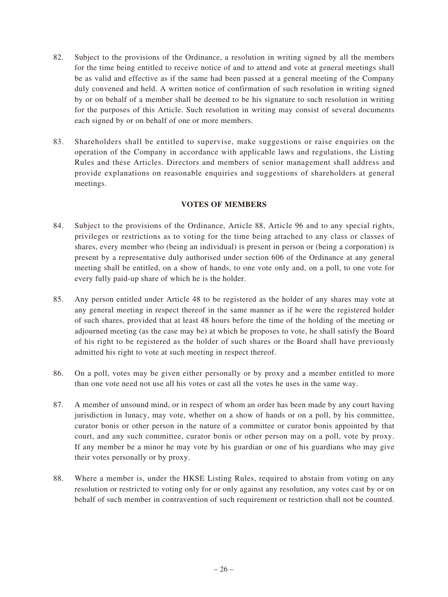- 82. Subject to the provisions of the Ordinance, a resolution in writing signed by all the members for the time being entitled to receive notice of and to attend and vote at general meetings shall be as valid and effective as if the same had been passed at a general meeting of the Company duly convened and held. A written notice of confirmation of such resolution in writing signed by or on behalf of a member shall be deemed to be his signature to such resolution in writing for the purposes of this Article. Such resolution in writing may consist of several documents each signed by or on behalf of one or more members.
- 83. Shareholders shall be entitled to supervise, make suggestions or raise enquiries on the operation of the Company in accordance with applicable laws and regulations, the Listing Rules and these Articles. Directors and members of senior management shall address and provide explanations on reasonable enquiries and suggestions of shareholders at general meetings.

# **VOTES OF MEMBERS**

- 84. Subject to the provisions of the Ordinance, Article 88, Article 96 and to any special rights, privileges or restrictions as to voting for the time being attached to any class or classes of shares, every member who (being an individual) is present in person or (being a corporation) is present by a representative duly authorised under section 606 of the Ordinance at any general meeting shall be entitled, on a show of hands, to one vote only and, on a poll, to one vote for every fully paid-up share of which he is the holder.
- 85. Any person entitled under Article 48 to be registered as the holder of any shares may vote at any general meeting in respect thereof in the same manner as if he were the registered holder of such shares, provided that at least 48 hours before the time of the holding of the meeting or adjourned meeting (as the case may be) at which he proposes to vote, he shall satisfy the Board of his right to be registered as the holder of such shares or the Board shall have previously admitted his right to vote at such meeting in respect thereof.
- 86. On a poll, votes may be given either personally or by proxy and a member entitled to more than one vote need not use all his votes or cast all the votes he uses in the same way.
- 87. A member of unsound mind, or in respect of whom an order has been made by any court having jurisdiction in lunacy, may vote, whether on a show of hands or on a poll, by his committee, curator bonis or other person in the nature of a committee or curator bonis appointed by that court, and any such committee, curator bonis or other person may on a poll, vote by proxy. If any member be a minor he may vote by his guardian or one of his guardians who may give their votes personally or by proxy.
- 88. Where a member is, under the HKSE Listing Rules, required to abstain from voting on any resolution or restricted to voting only for or only against any resolution, any votes cast by or on behalf of such member in contravention of such requirement or restriction shall not be counted.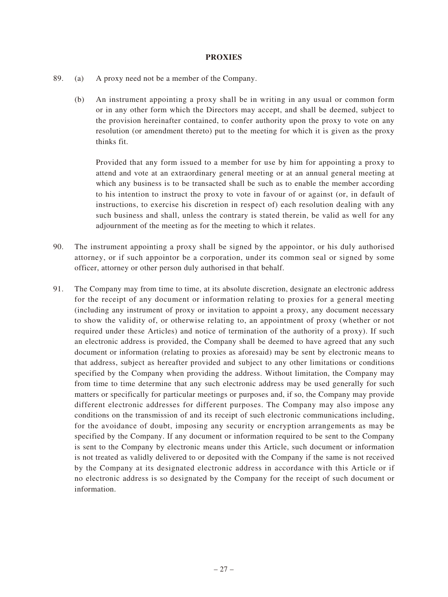### **PROXIES**

- 89. (a) A proxy need not be a member of the Company.
	- (b) An instrument appointing a proxy shall be in writing in any usual or common form or in any other form which the Directors may accept, and shall be deemed, subject to the provision hereinafter contained, to confer authority upon the proxy to vote on any resolution (or amendment thereto) put to the meeting for which it is given as the proxy thinks fit.

Provided that any form issued to a member for use by him for appointing a proxy to attend and vote at an extraordinary general meeting or at an annual general meeting at which any business is to be transacted shall be such as to enable the member according to his intention to instruct the proxy to vote in favour of or against (or, in default of instructions, to exercise his discretion in respect of) each resolution dealing with any such business and shall, unless the contrary is stated therein, be valid as well for any adjournment of the meeting as for the meeting to which it relates.

- 90. The instrument appointing a proxy shall be signed by the appointor, or his duly authorised attorney, or if such appointor be a corporation, under its common seal or signed by some officer, attorney or other person duly authorised in that behalf.
- 91. The Company may from time to time, at its absolute discretion, designate an electronic address for the receipt of any document or information relating to proxies for a general meeting (including any instrument of proxy or invitation to appoint a proxy, any document necessary to show the validity of, or otherwise relating to, an appointment of proxy (whether or not required under these Articles) and notice of termination of the authority of a proxy). If such an electronic address is provided, the Company shall be deemed to have agreed that any such document or information (relating to proxies as aforesaid) may be sent by electronic means to that address, subject as hereafter provided and subject to any other limitations or conditions specified by the Company when providing the address. Without limitation, the Company may from time to time determine that any such electronic address may be used generally for such matters or specifically for particular meetings or purposes and, if so, the Company may provide different electronic addresses for different purposes. The Company may also impose any conditions on the transmission of and its receipt of such electronic communications including, for the avoidance of doubt, imposing any security or encryption arrangements as may be specified by the Company. If any document or information required to be sent to the Company is sent to the Company by electronic means under this Article, such document or information is not treated as validly delivered to or deposited with the Company if the same is not received by the Company at its designated electronic address in accordance with this Article or if no electronic address is so designated by the Company for the receipt of such document or information.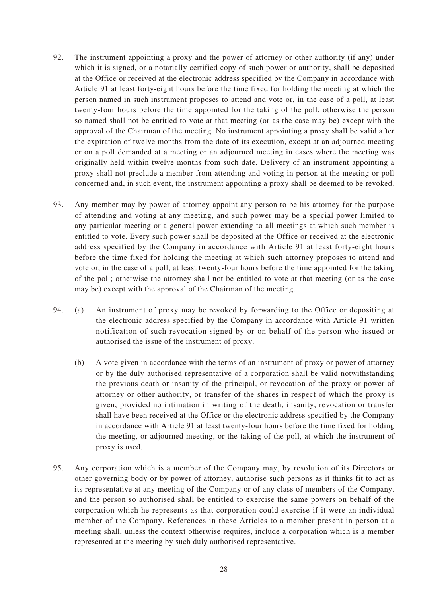- 92. The instrument appointing a proxy and the power of attorney or other authority (if any) under which it is signed, or a notarially certified copy of such power or authority, shall be deposited at the Office or received at the electronic address specified by the Company in accordance with Article 91 at least forty-eight hours before the time fixed for holding the meeting at which the person named in such instrument proposes to attend and vote or, in the case of a poll, at least twenty-four hours before the time appointed for the taking of the poll; otherwise the person so named shall not be entitled to vote at that meeting (or as the case may be) except with the approval of the Chairman of the meeting. No instrument appointing a proxy shall be valid after the expiration of twelve months from the date of its execution, except at an adjourned meeting or on a poll demanded at a meeting or an adjourned meeting in cases where the meeting was originally held within twelve months from such date. Delivery of an instrument appointing a proxy shall not preclude a member from attending and voting in person at the meeting or poll concerned and, in such event, the instrument appointing a proxy shall be deemed to be revoked.
- 93. Any member may by power of attorney appoint any person to be his attorney for the purpose of attending and voting at any meeting, and such power may be a special power limited to any particular meeting or a general power extending to all meetings at which such member is entitled to vote. Every such power shall be deposited at the Office or received at the electronic address specified by the Company in accordance with Article 91 at least forty-eight hours before the time fixed for holding the meeting at which such attorney proposes to attend and vote or, in the case of a poll, at least twenty-four hours before the time appointed for the taking of the poll; otherwise the attorney shall not be entitled to vote at that meeting (or as the case may be) except with the approval of the Chairman of the meeting.
- 94. (a) An instrument of proxy may be revoked by forwarding to the Office or depositing at the electronic address specified by the Company in accordance with Article 91 written notification of such revocation signed by or on behalf of the person who issued or authorised the issue of the instrument of proxy.
	- (b) A vote given in accordance with the terms of an instrument of proxy or power of attorney or by the duly authorised representative of a corporation shall be valid notwithstanding the previous death or insanity of the principal, or revocation of the proxy or power of attorney or other authority, or transfer of the shares in respect of which the proxy is given, provided no intimation in writing of the death, insanity, revocation or transfer shall have been received at the Office or the electronic address specified by the Company in accordance with Article 91 at least twenty-four hours before the time fixed for holding the meeting, or adjourned meeting, or the taking of the poll, at which the instrument of proxy is used.
- 95. Any corporation which is a member of the Company may, by resolution of its Directors or other governing body or by power of attorney, authorise such persons as it thinks fit to act as its representative at any meeting of the Company or of any class of members of the Company, and the person so authorised shall be entitled to exercise the same powers on behalf of the corporation which he represents as that corporation could exercise if it were an individual member of the Company. References in these Articles to a member present in person at a meeting shall, unless the context otherwise requires, include a corporation which is a member represented at the meeting by such duly authorised representative.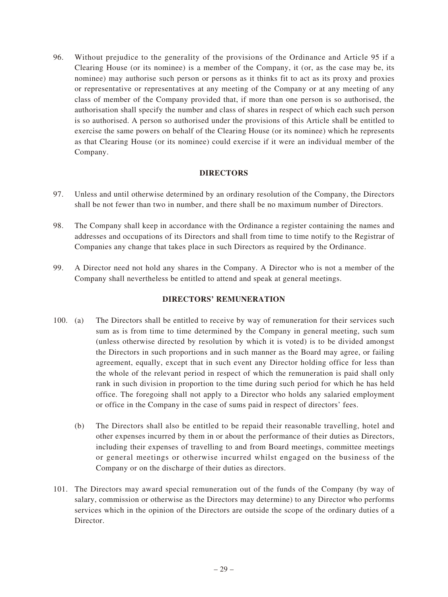96. Without prejudice to the generality of the provisions of the Ordinance and Article 95 if a Clearing House (or its nominee) is a member of the Company, it (or, as the case may be, its nominee) may authorise such person or persons as it thinks fit to act as its proxy and proxies or representative or representatives at any meeting of the Company or at any meeting of any class of member of the Company provided that, if more than one person is so authorised, the authorisation shall specify the number and class of shares in respect of which each such person is so authorised. A person so authorised under the provisions of this Article shall be entitled to exercise the same powers on behalf of the Clearing House (or its nominee) which he represents as that Clearing House (or its nominee) could exercise if it were an individual member of the Company.

#### **DIRECTORS**

- 97. Unless and until otherwise determined by an ordinary resolution of the Company, the Directors shall be not fewer than two in number, and there shall be no maximum number of Directors.
- 98. The Company shall keep in accordance with the Ordinance a register containing the names and addresses and occupations of its Directors and shall from time to time notify to the Registrar of Companies any change that takes place in such Directors as required by the Ordinance.
- 99. A Director need not hold any shares in the Company. A Director who is not a member of the Company shall nevertheless be entitled to attend and speak at general meetings.

# **DIRECTORS' REMUNERATION**

- 100. (a) The Directors shall be entitled to receive by way of remuneration for their services such sum as is from time to time determined by the Company in general meeting, such sum (unless otherwise directed by resolution by which it is voted) is to be divided amongst the Directors in such proportions and in such manner as the Board may agree, or failing agreement, equally, except that in such event any Director holding office for less than the whole of the relevant period in respect of which the remuneration is paid shall only rank in such division in proportion to the time during such period for which he has held office. The foregoing shall not apply to a Director who holds any salaried employment or office in the Company in the case of sums paid in respect of directors' fees.
	- (b) The Directors shall also be entitled to be repaid their reasonable travelling, hotel and other expenses incurred by them in or about the performance of their duties as Directors, including their expenses of travelling to and from Board meetings, committee meetings or general meetings or otherwise incurred whilst engaged on the business of the Company or on the discharge of their duties as directors.
- 101. The Directors may award special remuneration out of the funds of the Company (by way of salary, commission or otherwise as the Directors may determine) to any Director who performs services which in the opinion of the Directors are outside the scope of the ordinary duties of a Director.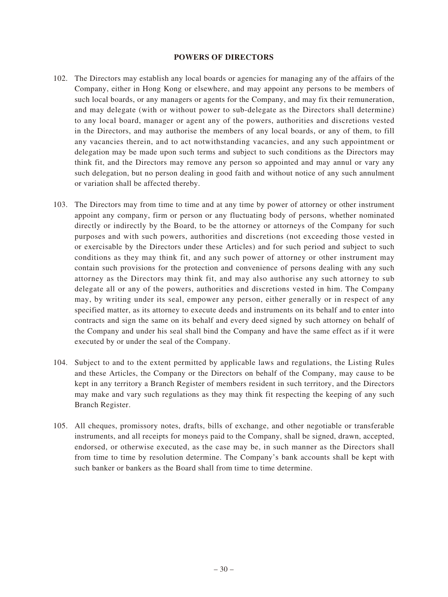#### **POWERS OF DIRECTORS**

- 102. The Directors may establish any local boards or agencies for managing any of the affairs of the Company, either in Hong Kong or elsewhere, and may appoint any persons to be members of such local boards, or any managers or agents for the Company, and may fix their remuneration, and may delegate (with or without power to sub-delegate as the Directors shall determine) to any local board, manager or agent any of the powers, authorities and discretions vested in the Directors, and may authorise the members of any local boards, or any of them, to fill any vacancies therein, and to act notwithstanding vacancies, and any such appointment or delegation may be made upon such terms and subject to such conditions as the Directors may think fit, and the Directors may remove any person so appointed and may annul or vary any such delegation, but no person dealing in good faith and without notice of any such annulment or variation shall be affected thereby.
- 103. The Directors may from time to time and at any time by power of attorney or other instrument appoint any company, firm or person or any fluctuating body of persons, whether nominated directly or indirectly by the Board, to be the attorney or attorneys of the Company for such purposes and with such powers, authorities and discretions (not exceeding those vested in or exercisable by the Directors under these Articles) and for such period and subject to such conditions as they may think fit, and any such power of attorney or other instrument may contain such provisions for the protection and convenience of persons dealing with any such attorney as the Directors may think fit, and may also authorise any such attorney to sub delegate all or any of the powers, authorities and discretions vested in him. The Company may, by writing under its seal, empower any person, either generally or in respect of any specified matter, as its attorney to execute deeds and instruments on its behalf and to enter into contracts and sign the same on its behalf and every deed signed by such attorney on behalf of the Company and under his seal shall bind the Company and have the same effect as if it were executed by or under the seal of the Company.
- 104. Subject to and to the extent permitted by applicable laws and regulations, the Listing Rules and these Articles, the Company or the Directors on behalf of the Company, may cause to be kept in any territory a Branch Register of members resident in such territory, and the Directors may make and vary such regulations as they may think fit respecting the keeping of any such Branch Register.
- 105. All cheques, promissory notes, drafts, bills of exchange, and other negotiable or transferable instruments, and all receipts for moneys paid to the Company, shall be signed, drawn, accepted, endorsed, or otherwise executed, as the case may be, in such manner as the Directors shall from time to time by resolution determine. The Company's bank accounts shall be kept with such banker or bankers as the Board shall from time to time determine.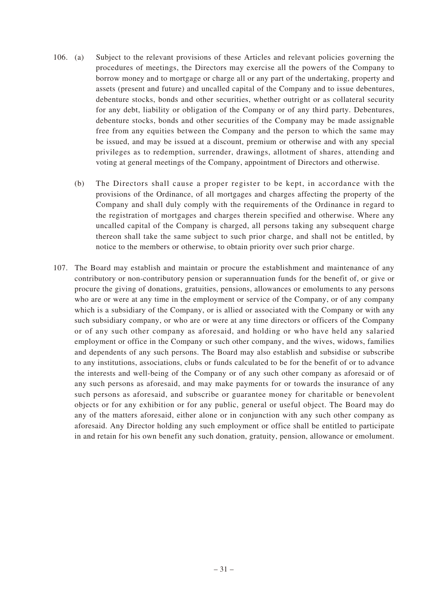- 106. (a) Subject to the relevant provisions of these Articles and relevant policies governing the procedures of meetings, the Directors may exercise all the powers of the Company to borrow money and to mortgage or charge all or any part of the undertaking, property and assets (present and future) and uncalled capital of the Company and to issue debentures, debenture stocks, bonds and other securities, whether outright or as collateral security for any debt, liability or obligation of the Company or of any third party. Debentures, debenture stocks, bonds and other securities of the Company may be made assignable free from any equities between the Company and the person to which the same may be issued, and may be issued at a discount, premium or otherwise and with any special privileges as to redemption, surrender, drawings, allotment of shares, attending and voting at general meetings of the Company, appointment of Directors and otherwise.
	- (b) The Directors shall cause a proper register to be kept, in accordance with the provisions of the Ordinance, of all mortgages and charges affecting the property of the Company and shall duly comply with the requirements of the Ordinance in regard to the registration of mortgages and charges therein specified and otherwise. Where any uncalled capital of the Company is charged, all persons taking any subsequent charge thereon shall take the same subject to such prior charge, and shall not be entitled, by notice to the members or otherwise, to obtain priority over such prior charge.
- 107. The Board may establish and maintain or procure the establishment and maintenance of any contributory or non-contributory pension or superannuation funds for the benefit of, or give or procure the giving of donations, gratuities, pensions, allowances or emoluments to any persons who are or were at any time in the employment or service of the Company, or of any company which is a subsidiary of the Company, or is allied or associated with the Company or with any such subsidiary company, or who are or were at any time directors or officers of the Company or of any such other company as aforesaid, and holding or who have held any salaried employment or office in the Company or such other company, and the wives, widows, families and dependents of any such persons. The Board may also establish and subsidise or subscribe to any institutions, associations, clubs or funds calculated to be for the benefit of or to advance the interests and well-being of the Company or of any such other company as aforesaid or of any such persons as aforesaid, and may make payments for or towards the insurance of any such persons as aforesaid, and subscribe or guarantee money for charitable or benevolent objects or for any exhibition or for any public, general or useful object. The Board may do any of the matters aforesaid, either alone or in conjunction with any such other company as aforesaid. Any Director holding any such employment or office shall be entitled to participate in and retain for his own benefit any such donation, gratuity, pension, allowance or emolument.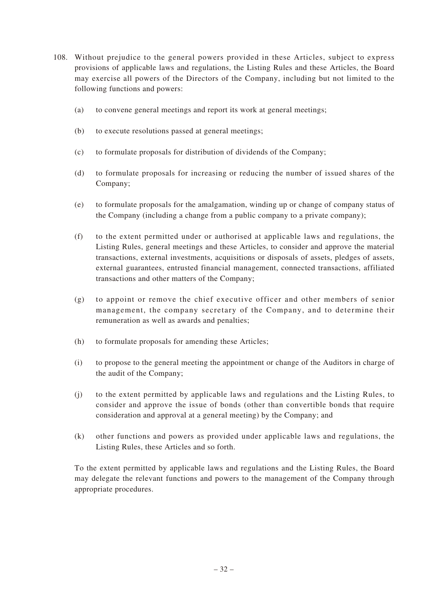- 108. Without prejudice to the general powers provided in these Articles, subject to express provisions of applicable laws and regulations, the Listing Rules and these Articles, the Board may exercise all powers of the Directors of the Company, including but not limited to the following functions and powers:
	- (a) to convene general meetings and report its work at general meetings;
	- (b) to execute resolutions passed at general meetings;
	- (c) to formulate proposals for distribution of dividends of the Company;
	- (d) to formulate proposals for increasing or reducing the number of issued shares of the Company;
	- (e) to formulate proposals for the amalgamation, winding up or change of company status of the Company (including a change from a public company to a private company);
	- (f) to the extent permitted under or authorised at applicable laws and regulations, the Listing Rules, general meetings and these Articles, to consider and approve the material transactions, external investments, acquisitions or disposals of assets, pledges of assets, external guarantees, entrusted financial management, connected transactions, affiliated transactions and other matters of the Company;
	- (g) to appoint or remove the chief executive officer and other members of senior management, the company secretary of the Company, and to determine their remuneration as well as awards and penalties;
	- (h) to formulate proposals for amending these Articles;
	- (i) to propose to the general meeting the appointment or change of the Auditors in charge of the audit of the Company;
	- (j) to the extent permitted by applicable laws and regulations and the Listing Rules, to consider and approve the issue of bonds (other than convertible bonds that require consideration and approval at a general meeting) by the Company; and
	- (k) other functions and powers as provided under applicable laws and regulations, the Listing Rules, these Articles and so forth.

To the extent permitted by applicable laws and regulations and the Listing Rules, the Board may delegate the relevant functions and powers to the management of the Company through appropriate procedures.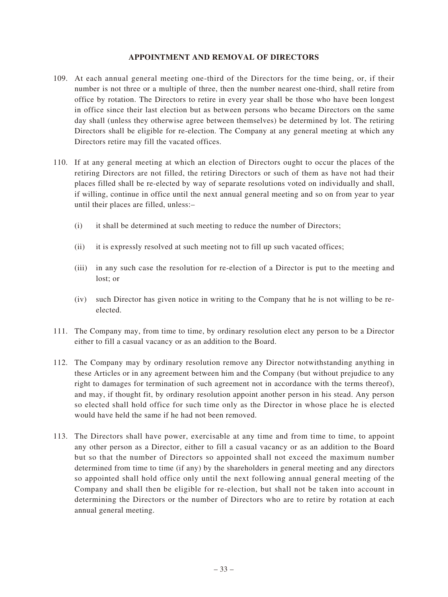#### **APPOINTMENT AND REMOVAL OF DIRECTORS**

- 109. At each annual general meeting one-third of the Directors for the time being, or, if their number is not three or a multiple of three, then the number nearest one-third, shall retire from office by rotation. The Directors to retire in every year shall be those who have been longest in office since their last election but as between persons who became Directors on the same day shall (unless they otherwise agree between themselves) be determined by lot. The retiring Directors shall be eligible for re-election. The Company at any general meeting at which any Directors retire may fill the vacated offices.
- 110. If at any general meeting at which an election of Directors ought to occur the places of the retiring Directors are not filled, the retiring Directors or such of them as have not had their places filled shall be re-elected by way of separate resolutions voted on individually and shall, if willing, continue in office until the next annual general meeting and so on from year to year until their places are filled, unless:–
	- (i) it shall be determined at such meeting to reduce the number of Directors;
	- (ii) it is expressly resolved at such meeting not to fill up such vacated offices;
	- (iii) in any such case the resolution for re-election of a Director is put to the meeting and lost; or
	- (iv) such Director has given notice in writing to the Company that he is not willing to be reelected.
- 111. The Company may, from time to time, by ordinary resolution elect any person to be a Director either to fill a casual vacancy or as an addition to the Board.
- 112. The Company may by ordinary resolution remove any Director notwithstanding anything in these Articles or in any agreement between him and the Company (but without prejudice to any right to damages for termination of such agreement not in accordance with the terms thereof), and may, if thought fit, by ordinary resolution appoint another person in his stead. Any person so elected shall hold office for such time only as the Director in whose place he is elected would have held the same if he had not been removed.
- 113. The Directors shall have power, exercisable at any time and from time to time, to appoint any other person as a Director, either to fill a casual vacancy or as an addition to the Board but so that the number of Directors so appointed shall not exceed the maximum number determined from time to time (if any) by the shareholders in general meeting and any directors so appointed shall hold office only until the next following annual general meeting of the Company and shall then be eligible for re-election, but shall not be taken into account in determining the Directors or the number of Directors who are to retire by rotation at each annual general meeting.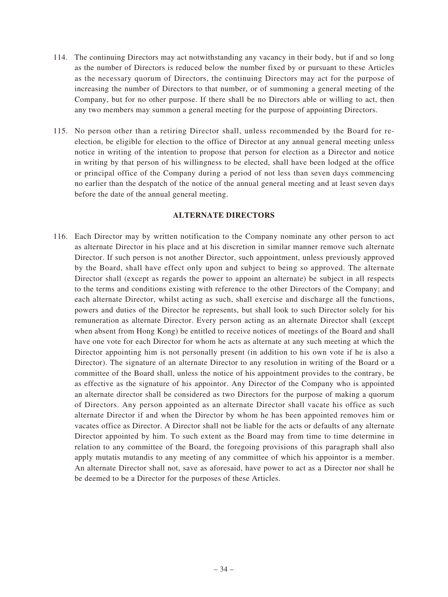- 114. The continuing Directors may act notwithstanding any vacancy in their body, but if and so long as the number of Directors is reduced below the number fixed by or pursuant to these Articles as the necessary quorum of Directors, the continuing Directors may act for the purpose of increasing the number of Directors to that number, or of summoning a general meeting of the Company, but for no other purpose. If there shall be no Directors able or willing to act, then any two members may summon a general meeting for the purpose of appointing Directors.
- 115. No person other than a retiring Director shall, unless recommended by the Board for reelection, be eligible for election to the office of Director at any annual general meeting unless notice in writing of the intention to propose that person for election as a Director and notice in writing by that person of his willingness to be elected, shall have been lodged at the office or principal office of the Company during a period of not less than seven days commencing no earlier than the despatch of the notice of the annual general meeting and at least seven days before the date of the annual general meeting.

#### **ALTERNATE DIRECTORS**

116. Each Director may by written notification to the Company nominate any other person to act as alternate Director in his place and at his discretion in similar manner remove such alternate Director. If such person is not another Director, such appointment, unless previously approved by the Board, shall have effect only upon and subject to being so approved. The alternate Director shall (except as regards the power to appoint an alternate) be subject in all respects to the terms and conditions existing with reference to the other Directors of the Company; and each alternate Director, whilst acting as such, shall exercise and discharge all the functions, powers and duties of the Director he represents, but shall look to such Director solely for his remuneration as alternate Director. Every person acting as an alternate Director shall (except when absent from Hong Kong) be entitled to receive notices of meetings of the Board and shall have one vote for each Director for whom he acts as alternate at any such meeting at which the Director appointing him is not personally present (in addition to his own vote if he is also a Director). The signature of an alternate Director to any resolution in writing of the Board or a committee of the Board shall, unless the notice of his appointment provides to the contrary, be as effective as the signature of his appointor. Any Director of the Company who is appointed an alternate director shall be considered as two Directors for the purpose of making a quorum of Directors. Any person appointed as an alternate Director shall vacate his office as such alternate Director if and when the Director by whom he has been appointed removes him or vacates office as Director. A Director shall not be liable for the acts or defaults of any alternate Director appointed by him. To such extent as the Board may from time to time determine in relation to any committee of the Board, the foregoing provisions of this paragraph shall also apply mutatis mutandis to any meeting of any committee of which his appointor is a member. An alternate Director shall not, save as aforesaid, have power to act as a Director nor shall he be deemed to be a Director for the purposes of these Articles.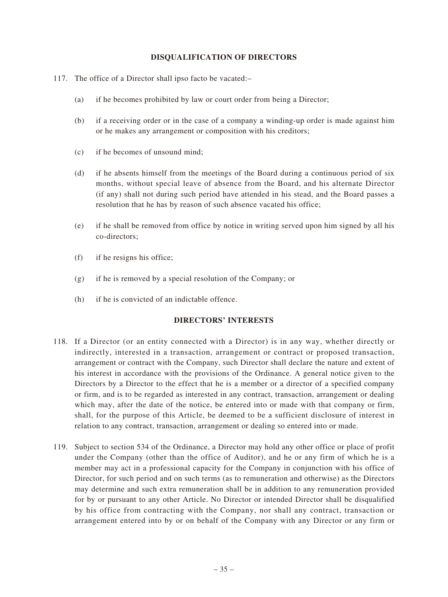### **DISQUALIFICATION OF DIRECTORS**

- 117. The office of a Director shall ipso facto be vacated:–
	- (a) if he becomes prohibited by law or court order from being a Director;
	- (b) if a receiving order or in the case of a company a winding-up order is made against him or he makes any arrangement or composition with his creditors;
	- (c) if he becomes of unsound mind;
	- (d) if he absents himself from the meetings of the Board during a continuous period of six months, without special leave of absence from the Board, and his alternate Director (if any) shall not during such period have attended in his stead, and the Board passes a resolution that he has by reason of such absence vacated his office;
	- (e) if he shall be removed from office by notice in writing served upon him signed by all his co-directors;
	- (f) if he resigns his office;
	- (g) if he is removed by a special resolution of the Company; or
	- (h) if he is convicted of an indictable offence.

#### **DIRECTORS' INTERESTS**

- 118. If a Director (or an entity connected with a Director) is in any way, whether directly or indirectly, interested in a transaction, arrangement or contract or proposed transaction, arrangement or contract with the Company, such Director shall declare the nature and extent of his interest in accordance with the provisions of the Ordinance. A general notice given to the Directors by a Director to the effect that he is a member or a director of a specified company or firm, and is to be regarded as interested in any contract, transaction, arrangement or dealing which may, after the date of the notice, be entered into or made with that company or firm, shall, for the purpose of this Article, be deemed to be a sufficient disclosure of interest in relation to any contract, transaction, arrangement or dealing so entered into or made.
- 119. Subject to section 534 of the Ordinance, a Director may hold any other office or place of profit under the Company (other than the office of Auditor), and he or any firm of which he is a member may act in a professional capacity for the Company in conjunction with his office of Director, for such period and on such terms (as to remuneration and otherwise) as the Directors may determine and such extra remuneration shall be in addition to any remuneration provided for by or pursuant to any other Article. No Director or intended Director shall be disqualified by his office from contracting with the Company, nor shall any contract, transaction or arrangement entered into by or on behalf of the Company with any Director or any firm or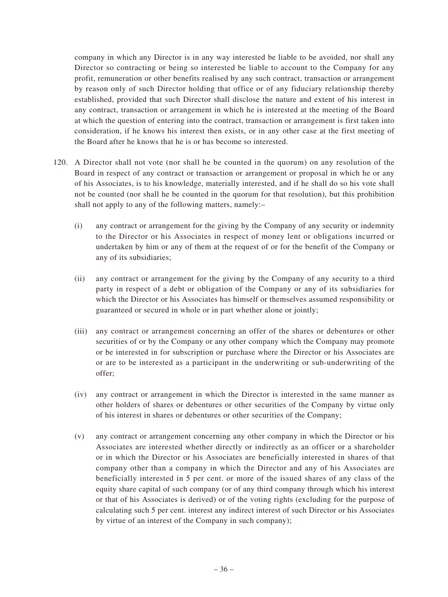company in which any Director is in any way interested be liable to be avoided, nor shall any Director so contracting or being so interested be liable to account to the Company for any profit, remuneration or other benefits realised by any such contract, transaction or arrangement by reason only of such Director holding that office or of any fiduciary relationship thereby established, provided that such Director shall disclose the nature and extent of his interest in any contract, transaction or arrangement in which he is interested at the meeting of the Board at which the question of entering into the contract, transaction or arrangement is first taken into consideration, if he knows his interest then exists, or in any other case at the first meeting of the Board after he knows that he is or has become so interested.

- 120. A Director shall not vote (nor shall he be counted in the quorum) on any resolution of the Board in respect of any contract or transaction or arrangement or proposal in which he or any of his Associates, is to his knowledge, materially interested, and if he shall do so his vote shall not be counted (nor shall he be counted in the quorum for that resolution), but this prohibition shall not apply to any of the following matters, namely:–
	- (i) any contract or arrangement for the giving by the Company of any security or indemnity to the Director or his Associates in respect of money lent or obligations incurred or undertaken by him or any of them at the request of or for the benefit of the Company or any of its subsidiaries;
	- (ii) any contract or arrangement for the giving by the Company of any security to a third party in respect of a debt or obligation of the Company or any of its subsidiaries for which the Director or his Associates has himself or themselves assumed responsibility or guaranteed or secured in whole or in part whether alone or jointly;
	- (iii) any contract or arrangement concerning an offer of the shares or debentures or other securities of or by the Company or any other company which the Company may promote or be interested in for subscription or purchase where the Director or his Associates are or are to be interested as a participant in the underwriting or sub-underwriting of the offer;
	- (iv) any contract or arrangement in which the Director is interested in the same manner as other holders of shares or debentures or other securities of the Company by virtue only of his interest in shares or debentures or other securities of the Company;
	- (v) any contract or arrangement concerning any other company in which the Director or his Associates are interested whether directly or indirectly as an officer or a shareholder or in which the Director or his Associates are beneficially interested in shares of that company other than a company in which the Director and any of his Associates are beneficially interested in 5 per cent. or more of the issued shares of any class of the equity share capital of such company (or of any third company through which his interest or that of his Associates is derived) or of the voting rights (excluding for the purpose of calculating such 5 per cent. interest any indirect interest of such Director or his Associates by virtue of an interest of the Company in such company);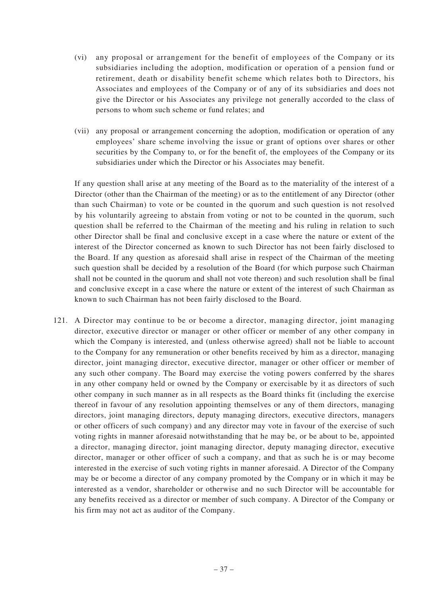- (vi) any proposal or arrangement for the benefit of employees of the Company or its subsidiaries including the adoption, modification or operation of a pension fund or retirement, death or disability benefit scheme which relates both to Directors, his Associates and employees of the Company or of any of its subsidiaries and does not give the Director or his Associates any privilege not generally accorded to the class of persons to whom such scheme or fund relates; and
- (vii) any proposal or arrangement concerning the adoption, modification or operation of any employees' share scheme involving the issue or grant of options over shares or other securities by the Company to, or for the benefit of, the employees of the Company or its subsidiaries under which the Director or his Associates may benefit.

If any question shall arise at any meeting of the Board as to the materiality of the interest of a Director (other than the Chairman of the meeting) or as to the entitlement of any Director (other than such Chairman) to vote or be counted in the quorum and such question is not resolved by his voluntarily agreeing to abstain from voting or not to be counted in the quorum, such question shall be referred to the Chairman of the meeting and his ruling in relation to such other Director shall be final and conclusive except in a case where the nature or extent of the interest of the Director concerned as known to such Director has not been fairly disclosed to the Board. If any question as aforesaid shall arise in respect of the Chairman of the meeting such question shall be decided by a resolution of the Board (for which purpose such Chairman shall not be counted in the quorum and shall not vote thereon) and such resolution shall be final and conclusive except in a case where the nature or extent of the interest of such Chairman as known to such Chairman has not been fairly disclosed to the Board.

121. A Director may continue to be or become a director, managing director, joint managing director, executive director or manager or other officer or member of any other company in which the Company is interested, and (unless otherwise agreed) shall not be liable to account to the Company for any remuneration or other benefits received by him as a director, managing director, joint managing director, executive director, manager or other officer or member of any such other company. The Board may exercise the voting powers conferred by the shares in any other company held or owned by the Company or exercisable by it as directors of such other company in such manner as in all respects as the Board thinks fit (including the exercise thereof in favour of any resolution appointing themselves or any of them directors, managing directors, joint managing directors, deputy managing directors, executive directors, managers or other officers of such company) and any director may vote in favour of the exercise of such voting rights in manner aforesaid notwithstanding that he may be, or be about to be, appointed a director, managing director, joint managing director, deputy managing director, executive director, manager or other officer of such a company, and that as such he is or may become interested in the exercise of such voting rights in manner aforesaid. A Director of the Company may be or become a director of any company promoted by the Company or in which it may be interested as a vendor, shareholder or otherwise and no such Director will be accountable for any benefits received as a director or member of such company. A Director of the Company or his firm may not act as auditor of the Company.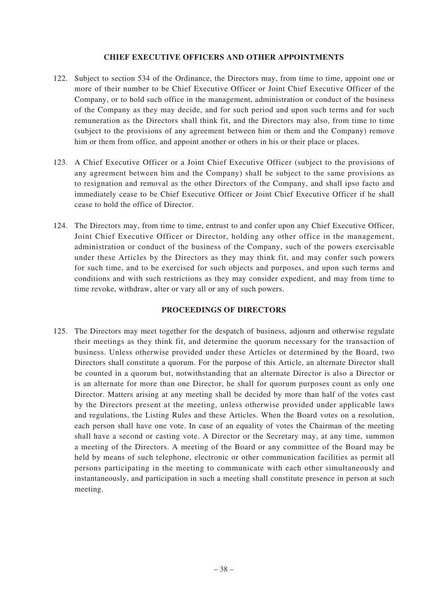### **CHIEF EXECUTIVE OFFICERS AND OTHER APPOINTMENTS**

- 122. Subject to section 534 of the Ordinance, the Directors may, from time to time, appoint one or more of their number to be Chief Executive Officer or Joint Chief Executive Officer of the Company, or to hold such office in the management, administration or conduct of the business of the Company as they may decide, and for such period and upon such terms and for such remuneration as the Directors shall think fit, and the Directors may also, from time to time (subject to the provisions of any agreement between him or them and the Company) remove him or them from office, and appoint another or others in his or their place or places.
- 123. A Chief Executive Officer or a Joint Chief Executive Officer (subject to the provisions of any agreement between him and the Company) shall be subject to the same provisions as to resignation and removal as the other Directors of the Company, and shall ipso facto and immediately cease to be Chief Executive Officer or Joint Chief Executive Officer if he shall cease to hold the office of Director.
- 124. The Directors may, from time to time, entrust to and confer upon any Chief Executive Officer, Joint Chief Executive Officer or Director, holding any other office in the management, administration or conduct of the business of the Company, such of the powers exercisable under these Articles by the Directors as they may think fit, and may confer such powers for such time, and to be exercised for such objects and purposes, and upon such terms and conditions and with such restrictions as they may consider expedient, and may from time to time revoke, withdraw, alter or vary all or any of such powers.

# **PROCEEDINGS OF DIRECTORS**

125. The Directors may meet together for the despatch of business, adjourn and otherwise regulate their meetings as they think fit, and determine the quorum necessary for the transaction of business. Unless otherwise provided under these Articles or determined by the Board, two Directors shall constitute a quorum. For the purpose of this Article, an alternate Director shall be counted in a quorum but, notwithstanding that an alternate Director is also a Director or is an alternate for more than one Director, he shall for quorum purposes count as only one Director. Matters arising at any meeting shall be decided by more than half of the votes cast by the Directors present at the meeting, unless otherwise provided under applicable laws and regulations, the Listing Rules and these Articles. When the Board votes on a resolution, each person shall have one vote. In case of an equality of votes the Chairman of the meeting shall have a second or casting vote. A Director or the Secretary may, at any time, summon a meeting of the Directors. A meeting of the Board or any committee of the Board may be held by means of such telephone, electronic or other communication facilities as permit all persons participating in the meeting to communicate with each other simultaneously and instantaneously, and participation in such a meeting shall constitute presence in person at such meeting.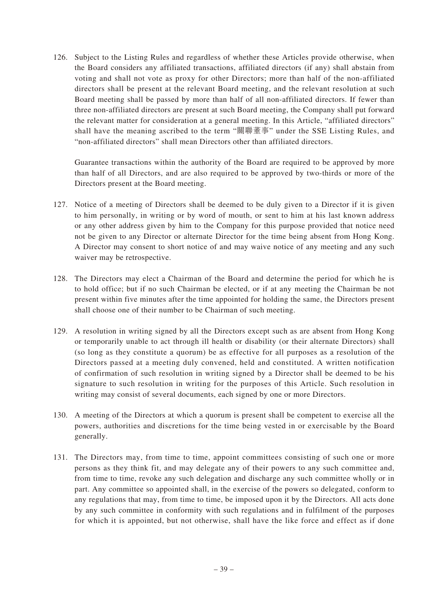126. Subject to the Listing Rules and regardless of whether these Articles provide otherwise, when the Board considers any affiliated transactions, affiliated directors (if any) shall abstain from voting and shall not vote as proxy for other Directors; more than half of the non-affiliated directors shall be present at the relevant Board meeting, and the relevant resolution at such Board meeting shall be passed by more than half of all non-affiliated directors. If fewer than three non-affiliated directors are present at such Board meeting, the Company shall put forward the relevant matter for consideration at a general meeting. In this Article, "affiliated directors" shall have the meaning ascribed to the term "關聯董事" under the SSE Listing Rules, and "non-affiliated directors" shall mean Directors other than affiliated directors.

Guarantee transactions within the authority of the Board are required to be approved by more than half of all Directors, and are also required to be approved by two-thirds or more of the Directors present at the Board meeting.

- 127. Notice of a meeting of Directors shall be deemed to be duly given to a Director if it is given to him personally, in writing or by word of mouth, or sent to him at his last known address or any other address given by him to the Company for this purpose provided that notice need not be given to any Director or alternate Director for the time being absent from Hong Kong. A Director may consent to short notice of and may waive notice of any meeting and any such waiver may be retrospective.
- 128. The Directors may elect a Chairman of the Board and determine the period for which he is to hold office; but if no such Chairman be elected, or if at any meeting the Chairman be not present within five minutes after the time appointed for holding the same, the Directors present shall choose one of their number to be Chairman of such meeting.
- 129. A resolution in writing signed by all the Directors except such as are absent from Hong Kong or temporarily unable to act through ill health or disability (or their alternate Directors) shall (so long as they constitute a quorum) be as effective for all purposes as a resolution of the Directors passed at a meeting duly convened, held and constituted. A written notification of confirmation of such resolution in writing signed by a Director shall be deemed to be his signature to such resolution in writing for the purposes of this Article. Such resolution in writing may consist of several documents, each signed by one or more Directors.
- 130. A meeting of the Directors at which a quorum is present shall be competent to exercise all the powers, authorities and discretions for the time being vested in or exercisable by the Board generally.
- 131. The Directors may, from time to time, appoint committees consisting of such one or more persons as they think fit, and may delegate any of their powers to any such committee and, from time to time, revoke any such delegation and discharge any such committee wholly or in part. Any committee so appointed shall, in the exercise of the powers so delegated, conform to any regulations that may, from time to time, be imposed upon it by the Directors. All acts done by any such committee in conformity with such regulations and in fulfilment of the purposes for which it is appointed, but not otherwise, shall have the like force and effect as if done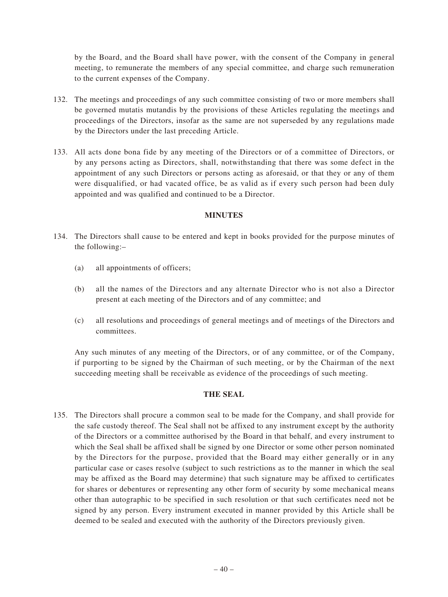by the Board, and the Board shall have power, with the consent of the Company in general meeting, to remunerate the members of any special committee, and charge such remuneration to the current expenses of the Company.

- 132. The meetings and proceedings of any such committee consisting of two or more members shall be governed mutatis mutandis by the provisions of these Articles regulating the meetings and proceedings of the Directors, insofar as the same are not superseded by any regulations made by the Directors under the last preceding Article.
- 133. All acts done bona fide by any meeting of the Directors or of a committee of Directors, or by any persons acting as Directors, shall, notwithstanding that there was some defect in the appointment of any such Directors or persons acting as aforesaid, or that they or any of them were disqualified, or had vacated office, be as valid as if every such person had been duly appointed and was qualified and continued to be a Director.

#### **MINUTES**

- 134. The Directors shall cause to be entered and kept in books provided for the purpose minutes of the following:–
	- (a) all appointments of officers;
	- (b) all the names of the Directors and any alternate Director who is not also a Director present at each meeting of the Directors and of any committee; and
	- (c) all resolutions and proceedings of general meetings and of meetings of the Directors and committees.

Any such minutes of any meeting of the Directors, or of any committee, or of the Company, if purporting to be signed by the Chairman of such meeting, or by the Chairman of the next succeeding meeting shall be receivable as evidence of the proceedings of such meeting.

# **THE SEAL**

135. The Directors shall procure a common seal to be made for the Company, and shall provide for the safe custody thereof. The Seal shall not be affixed to any instrument except by the authority of the Directors or a committee authorised by the Board in that behalf, and every instrument to which the Seal shall be affixed shall be signed by one Director or some other person nominated by the Directors for the purpose, provided that the Board may either generally or in any particular case or cases resolve (subject to such restrictions as to the manner in which the seal may be affixed as the Board may determine) that such signature may be affixed to certificates for shares or debentures or representing any other form of security by some mechanical means other than autographic to be specified in such resolution or that such certificates need not be signed by any person. Every instrument executed in manner provided by this Article shall be deemed to be sealed and executed with the authority of the Directors previously given.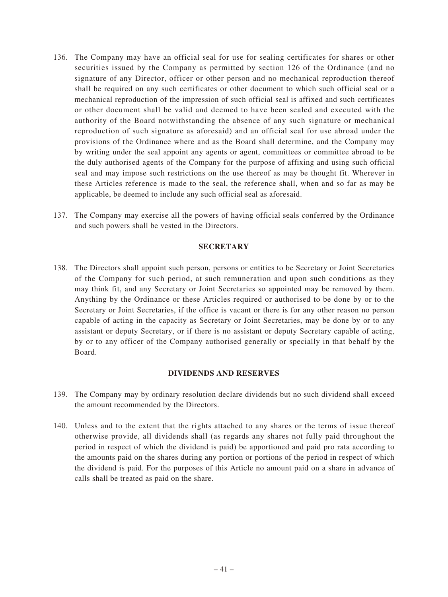- 136. The Company may have an official seal for use for sealing certificates for shares or other securities issued by the Company as permitted by section 126 of the Ordinance (and no signature of any Director, officer or other person and no mechanical reproduction thereof shall be required on any such certificates or other document to which such official seal or a mechanical reproduction of the impression of such official seal is affixed and such certificates or other document shall be valid and deemed to have been sealed and executed with the authority of the Board notwithstanding the absence of any such signature or mechanical reproduction of such signature as aforesaid) and an official seal for use abroad under the provisions of the Ordinance where and as the Board shall determine, and the Company may by writing under the seal appoint any agents or agent, committees or committee abroad to be the duly authorised agents of the Company for the purpose of affixing and using such official seal and may impose such restrictions on the use thereof as may be thought fit. Wherever in these Articles reference is made to the seal, the reference shall, when and so far as may be applicable, be deemed to include any such official seal as aforesaid.
- 137. The Company may exercise all the powers of having official seals conferred by the Ordinance and such powers shall be vested in the Directors.

# **SECRETARY**

138. The Directors shall appoint such person, persons or entities to be Secretary or Joint Secretaries of the Company for such period, at such remuneration and upon such conditions as they may think fit, and any Secretary or Joint Secretaries so appointed may be removed by them. Anything by the Ordinance or these Articles required or authorised to be done by or to the Secretary or Joint Secretaries, if the office is vacant or there is for any other reason no person capable of acting in the capacity as Secretary or Joint Secretaries, may be done by or to any assistant or deputy Secretary, or if there is no assistant or deputy Secretary capable of acting, by or to any officer of the Company authorised generally or specially in that behalf by the Board.

#### **DIVIDENDS AND RESERVES**

- 139. The Company may by ordinary resolution declare dividends but no such dividend shall exceed the amount recommended by the Directors.
- 140. Unless and to the extent that the rights attached to any shares or the terms of issue thereof otherwise provide, all dividends shall (as regards any shares not fully paid throughout the period in respect of which the dividend is paid) be apportioned and paid pro rata according to the amounts paid on the shares during any portion or portions of the period in respect of which the dividend is paid. For the purposes of this Article no amount paid on a share in advance of calls shall be treated as paid on the share.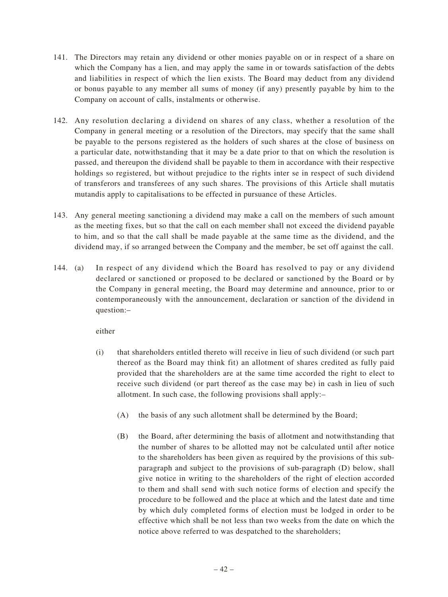- 141. The Directors may retain any dividend or other monies payable on or in respect of a share on which the Company has a lien, and may apply the same in or towards satisfaction of the debts and liabilities in respect of which the lien exists. The Board may deduct from any dividend or bonus payable to any member all sums of money (if any) presently payable by him to the Company on account of calls, instalments or otherwise.
- 142. Any resolution declaring a dividend on shares of any class, whether a resolution of the Company in general meeting or a resolution of the Directors, may specify that the same shall be payable to the persons registered as the holders of such shares at the close of business on a particular date, notwithstanding that it may be a date prior to that on which the resolution is passed, and thereupon the dividend shall be payable to them in accordance with their respective holdings so registered, but without prejudice to the rights inter se in respect of such dividend of transferors and transferees of any such shares. The provisions of this Article shall mutatis mutandis apply to capitalisations to be effected in pursuance of these Articles.
- 143. Any general meeting sanctioning a dividend may make a call on the members of such amount as the meeting fixes, but so that the call on each member shall not exceed the dividend payable to him, and so that the call shall be made payable at the same time as the dividend, and the dividend may, if so arranged between the Company and the member, be set off against the call.
- 144. (a) In respect of any dividend which the Board has resolved to pay or any dividend declared or sanctioned or proposed to be declared or sanctioned by the Board or by the Company in general meeting, the Board may determine and announce, prior to or contemporaneously with the announcement, declaration or sanction of the dividend in question:–

either

- (i) that shareholders entitled thereto will receive in lieu of such dividend (or such part thereof as the Board may think fit) an allotment of shares credited as fully paid provided that the shareholders are at the same time accorded the right to elect to receive such dividend (or part thereof as the case may be) in cash in lieu of such allotment. In such case, the following provisions shall apply:–
	- (A) the basis of any such allotment shall be determined by the Board;
	- (B) the Board, after determining the basis of allotment and notwithstanding that the number of shares to be allotted may not be calculated until after notice to the shareholders has been given as required by the provisions of this subparagraph and subject to the provisions of sub-paragraph (D) below, shall give notice in writing to the shareholders of the right of election accorded to them and shall send with such notice forms of election and specify the procedure to be followed and the place at which and the latest date and time by which duly completed forms of election must be lodged in order to be effective which shall be not less than two weeks from the date on which the notice above referred to was despatched to the shareholders;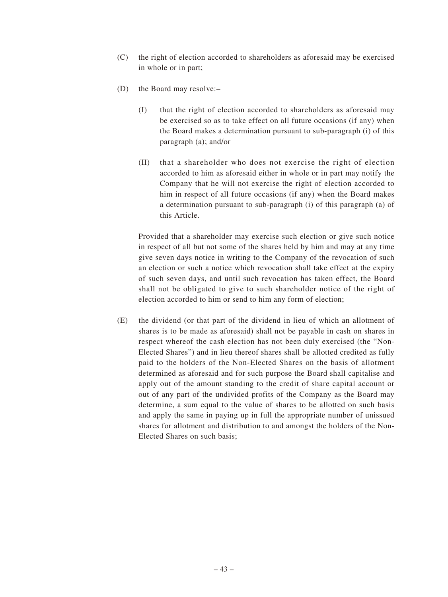- (C) the right of election accorded to shareholders as aforesaid may be exercised in whole or in part;
- (D) the Board may resolve:–
	- (I) that the right of election accorded to shareholders as aforesaid may be exercised so as to take effect on all future occasions (if any) when the Board makes a determination pursuant to sub-paragraph (i) of this paragraph (a); and/or
	- (II) that a shareholder who does not exercise the right of election accorded to him as aforesaid either in whole or in part may notify the Company that he will not exercise the right of election accorded to him in respect of all future occasions (if any) when the Board makes a determination pursuant to sub-paragraph (i) of this paragraph (a) of this Article.

Provided that a shareholder may exercise such election or give such notice in respect of all but not some of the shares held by him and may at any time give seven days notice in writing to the Company of the revocation of such an election or such a notice which revocation shall take effect at the expiry of such seven days, and until such revocation has taken effect, the Board shall not be obligated to give to such shareholder notice of the right of election accorded to him or send to him any form of election;

(E) the dividend (or that part of the dividend in lieu of which an allotment of shares is to be made as aforesaid) shall not be payable in cash on shares in respect whereof the cash election has not been duly exercised (the "Non-Elected Shares") and in lieu thereof shares shall be allotted credited as fully paid to the holders of the Non-Elected Shares on the basis of allotment determined as aforesaid and for such purpose the Board shall capitalise and apply out of the amount standing to the credit of share capital account or out of any part of the undivided profits of the Company as the Board may determine, a sum equal to the value of shares to be allotted on such basis and apply the same in paying up in full the appropriate number of unissued shares for allotment and distribution to and amongst the holders of the Non-Elected Shares on such basis;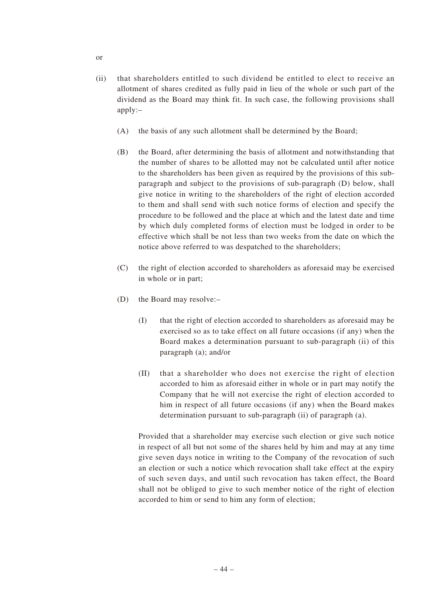- (ii) that shareholders entitled to such dividend be entitled to elect to receive an allotment of shares credited as fully paid in lieu of the whole or such part of the dividend as the Board may think fit. In such case, the following provisions shall apply:–
	- (A) the basis of any such allotment shall be determined by the Board;
	- (B) the Board, after determining the basis of allotment and notwithstanding that the number of shares to be allotted may not be calculated until after notice to the shareholders has been given as required by the provisions of this subparagraph and subject to the provisions of sub-paragraph (D) below, shall give notice in writing to the shareholders of the right of election accorded to them and shall send with such notice forms of election and specify the procedure to be followed and the place at which and the latest date and time by which duly completed forms of election must be lodged in order to be effective which shall be not less than two weeks from the date on which the notice above referred to was despatched to the shareholders;
	- (C) the right of election accorded to shareholders as aforesaid may be exercised in whole or in part;
	- (D) the Board may resolve:–
		- (I) that the right of election accorded to shareholders as aforesaid may be exercised so as to take effect on all future occasions (if any) when the Board makes a determination pursuant to sub-paragraph (ii) of this paragraph (a); and/or
		- (II) that a shareholder who does not exercise the right of election accorded to him as aforesaid either in whole or in part may notify the Company that he will not exercise the right of election accorded to him in respect of all future occasions (if any) when the Board makes determination pursuant to sub-paragraph (ii) of paragraph (a).

Provided that a shareholder may exercise such election or give such notice in respect of all but not some of the shares held by him and may at any time give seven days notice in writing to the Company of the revocation of such an election or such a notice which revocation shall take effect at the expiry of such seven days, and until such revocation has taken effect, the Board shall not be obliged to give to such member notice of the right of election accorded to him or send to him any form of election;

or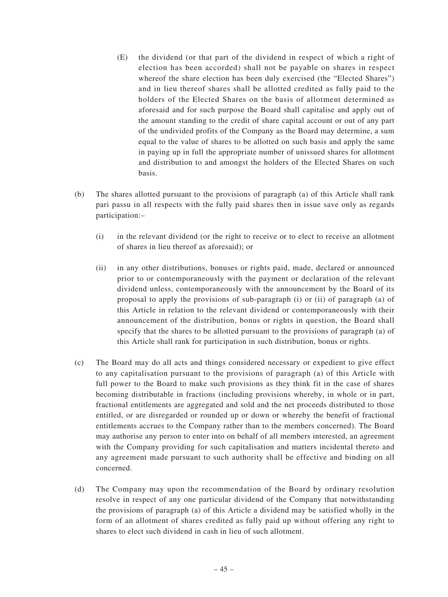- (E) the dividend (or that part of the dividend in respect of which a right of election has been accorded) shall not be payable on shares in respect whereof the share election has been duly exercised (the "Elected Shares") and in lieu thereof shares shall be allotted credited as fully paid to the holders of the Elected Shares on the basis of allotment determined as aforesaid and for such purpose the Board shall capitalise and apply out of the amount standing to the credit of share capital account or out of any part of the undivided profits of the Company as the Board may determine, a sum equal to the value of shares to be allotted on such basis and apply the same in paying up in full the appropriate number of unissued shares for allotment and distribution to and amongst the holders of the Elected Shares on such basis.
- (b) The shares allotted pursuant to the provisions of paragraph (a) of this Article shall rank pari passu in all respects with the fully paid shares then in issue save only as regards participation:–
	- (i) in the relevant dividend (or the right to receive or to elect to receive an allotment of shares in lieu thereof as aforesaid); or
	- (ii) in any other distributions, bonuses or rights paid, made, declared or announced prior to or contemporaneously with the payment or declaration of the relevant dividend unless, contemporaneously with the announcement by the Board of its proposal to apply the provisions of sub-paragraph (i) or (ii) of paragraph (a) of this Article in relation to the relevant dividend or contemporaneously with their announcement of the distribution, bonus or rights in question, the Board shall specify that the shares to be allotted pursuant to the provisions of paragraph (a) of this Article shall rank for participation in such distribution, bonus or rights.
- (c) The Board may do all acts and things considered necessary or expedient to give effect to any capitalisation pursuant to the provisions of paragraph (a) of this Article with full power to the Board to make such provisions as they think fit in the case of shares becoming distributable in fractions (including provisions whereby, in whole or in part, fractional entitlements are aggregated and sold and the net proceeds distributed to those entitled, or are disregarded or rounded up or down or whereby the benefit of fractional entitlements accrues to the Company rather than to the members concerned). The Board may authorise any person to enter into on behalf of all members interested, an agreement with the Company providing for such capitalisation and matters incidental thereto and any agreement made pursuant to such authority shall be effective and binding on all concerned.
- (d) The Company may upon the recommendation of the Board by ordinary resolution resolve in respect of any one particular dividend of the Company that notwithstanding the provisions of paragraph (a) of this Article a dividend may be satisfied wholly in the form of an allotment of shares credited as fully paid up without offering any right to shares to elect such dividend in cash in lieu of such allotment.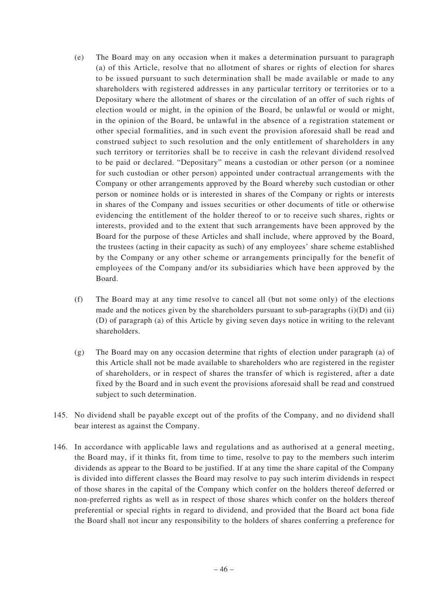- (e) The Board may on any occasion when it makes a determination pursuant to paragraph (a) of this Article, resolve that no allotment of shares or rights of election for shares to be issued pursuant to such determination shall be made available or made to any shareholders with registered addresses in any particular territory or territories or to a Depositary where the allotment of shares or the circulation of an offer of such rights of election would or might, in the opinion of the Board, be unlawful or would or might, in the opinion of the Board, be unlawful in the absence of a registration statement or other special formalities, and in such event the provision aforesaid shall be read and construed subject to such resolution and the only entitlement of shareholders in any such territory or territories shall be to receive in cash the relevant dividend resolved to be paid or declared. "Depositary" means a custodian or other person (or a nominee for such custodian or other person) appointed under contractual arrangements with the Company or other arrangements approved by the Board whereby such custodian or other person or nominee holds or is interested in shares of the Company or rights or interests in shares of the Company and issues securities or other documents of title or otherwise evidencing the entitlement of the holder thereof to or to receive such shares, rights or interests, provided and to the extent that such arrangements have been approved by the Board for the purpose of these Articles and shall include, where approved by the Board, the trustees (acting in their capacity as such) of any employees' share scheme established by the Company or any other scheme or arrangements principally for the benefit of employees of the Company and/or its subsidiaries which have been approved by the Board.
- (f) The Board may at any time resolve to cancel all (but not some only) of the elections made and the notices given by the shareholders pursuant to sub-paragraphs  $(i)(D)$  and  $(ii)$ (D) of paragraph (a) of this Article by giving seven days notice in writing to the relevant shareholders.
- (g) The Board may on any occasion determine that rights of election under paragraph (a) of this Article shall not be made available to shareholders who are registered in the register of shareholders, or in respect of shares the transfer of which is registered, after a date fixed by the Board and in such event the provisions aforesaid shall be read and construed subject to such determination.
- 145. No dividend shall be payable except out of the profits of the Company, and no dividend shall bear interest as against the Company.
- 146. In accordance with applicable laws and regulations and as authorised at a general meeting, the Board may, if it thinks fit, from time to time, resolve to pay to the members such interim dividends as appear to the Board to be justified. If at any time the share capital of the Company is divided into different classes the Board may resolve to pay such interim dividends in respect of those shares in the capital of the Company which confer on the holders thereof deferred or non-preferred rights as well as in respect of those shares which confer on the holders thereof preferential or special rights in regard to dividend, and provided that the Board act bona fide the Board shall not incur any responsibility to the holders of shares conferring a preference for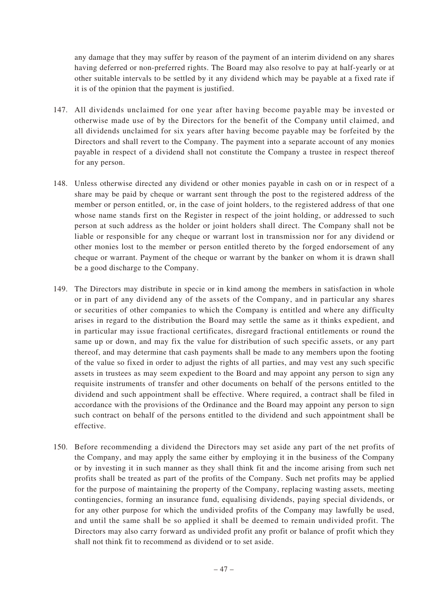any damage that they may suffer by reason of the payment of an interim dividend on any shares having deferred or non-preferred rights. The Board may also resolve to pay at half-yearly or at other suitable intervals to be settled by it any dividend which may be payable at a fixed rate if it is of the opinion that the payment is justified.

- 147. All dividends unclaimed for one year after having become payable may be invested or otherwise made use of by the Directors for the benefit of the Company until claimed, and all dividends unclaimed for six years after having become payable may be forfeited by the Directors and shall revert to the Company. The payment into a separate account of any monies payable in respect of a dividend shall not constitute the Company a trustee in respect thereof for any person.
- 148. Unless otherwise directed any dividend or other monies payable in cash on or in respect of a share may be paid by cheque or warrant sent through the post to the registered address of the member or person entitled, or, in the case of joint holders, to the registered address of that one whose name stands first on the Register in respect of the joint holding, or addressed to such person at such address as the holder or joint holders shall direct. The Company shall not be liable or responsible for any cheque or warrant lost in transmission nor for any dividend or other monies lost to the member or person entitled thereto by the forged endorsement of any cheque or warrant. Payment of the cheque or warrant by the banker on whom it is drawn shall be a good discharge to the Company.
- 149. The Directors may distribute in specie or in kind among the members in satisfaction in whole or in part of any dividend any of the assets of the Company, and in particular any shares or securities of other companies to which the Company is entitled and where any difficulty arises in regard to the distribution the Board may settle the same as it thinks expedient, and in particular may issue fractional certificates, disregard fractional entitlements or round the same up or down, and may fix the value for distribution of such specific assets, or any part thereof, and may determine that cash payments shall be made to any members upon the footing of the value so fixed in order to adjust the rights of all parties, and may vest any such specific assets in trustees as may seem expedient to the Board and may appoint any person to sign any requisite instruments of transfer and other documents on behalf of the persons entitled to the dividend and such appointment shall be effective. Where required, a contract shall be filed in accordance with the provisions of the Ordinance and the Board may appoint any person to sign such contract on behalf of the persons entitled to the dividend and such appointment shall be effective.
- 150. Before recommending a dividend the Directors may set aside any part of the net profits of the Company, and may apply the same either by employing it in the business of the Company or by investing it in such manner as they shall think fit and the income arising from such net profits shall be treated as part of the profits of the Company. Such net profits may be applied for the purpose of maintaining the property of the Company, replacing wasting assets, meeting contingencies, forming an insurance fund, equalising dividends, paying special dividends, or for any other purpose for which the undivided profits of the Company may lawfully be used, and until the same shall be so applied it shall be deemed to remain undivided profit. The Directors may also carry forward as undivided profit any profit or balance of profit which they shall not think fit to recommend as dividend or to set aside.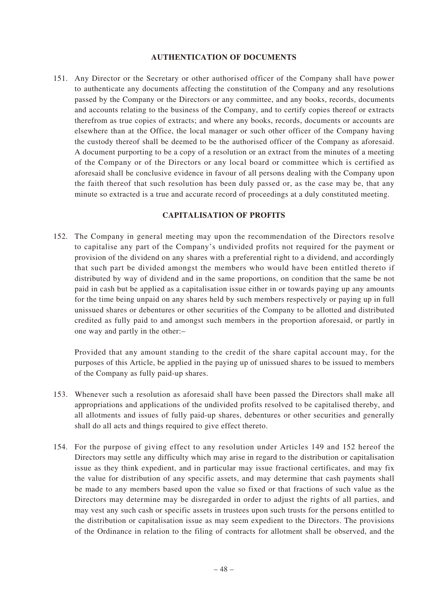#### **AUTHENTICATION OF DOCUMENTS**

151. Any Director or the Secretary or other authorised officer of the Company shall have power to authenticate any documents affecting the constitution of the Company and any resolutions passed by the Company or the Directors or any committee, and any books, records, documents and accounts relating to the business of the Company, and to certify copies thereof or extracts therefrom as true copies of extracts; and where any books, records, documents or accounts are elsewhere than at the Office, the local manager or such other officer of the Company having the custody thereof shall be deemed to be the authorised officer of the Company as aforesaid. A document purporting to be a copy of a resolution or an extract from the minutes of a meeting of the Company or of the Directors or any local board or committee which is certified as aforesaid shall be conclusive evidence in favour of all persons dealing with the Company upon the faith thereof that such resolution has been duly passed or, as the case may be, that any minute so extracted is a true and accurate record of proceedings at a duly constituted meeting.

#### **CAPITALISATION OF PROFITS**

152. The Company in general meeting may upon the recommendation of the Directors resolve to capitalise any part of the Company's undivided profits not required for the payment or provision of the dividend on any shares with a preferential right to a dividend, and accordingly that such part be divided amongst the members who would have been entitled thereto if distributed by way of dividend and in the same proportions, on condition that the same be not paid in cash but be applied as a capitalisation issue either in or towards paying up any amounts for the time being unpaid on any shares held by such members respectively or paying up in full unissued shares or debentures or other securities of the Company to be allotted and distributed credited as fully paid to and amongst such members in the proportion aforesaid, or partly in one way and partly in the other:–

Provided that any amount standing to the credit of the share capital account may, for the purposes of this Article, be applied in the paying up of unissued shares to be issued to members of the Company as fully paid-up shares.

- 153. Whenever such a resolution as aforesaid shall have been passed the Directors shall make all appropriations and applications of the undivided profits resolved to be capitalised thereby, and all allotments and issues of fully paid-up shares, debentures or other securities and generally shall do all acts and things required to give effect thereto.
- 154. For the purpose of giving effect to any resolution under Articles 149 and 152 hereof the Directors may settle any difficulty which may arise in regard to the distribution or capitalisation issue as they think expedient, and in particular may issue fractional certificates, and may fix the value for distribution of any specific assets, and may determine that cash payments shall be made to any members based upon the value so fixed or that fractions of such value as the Directors may determine may be disregarded in order to adjust the rights of all parties, and may vest any such cash or specific assets in trustees upon such trusts for the persons entitled to the distribution or capitalisation issue as may seem expedient to the Directors. The provisions of the Ordinance in relation to the filing of contracts for allotment shall be observed, and the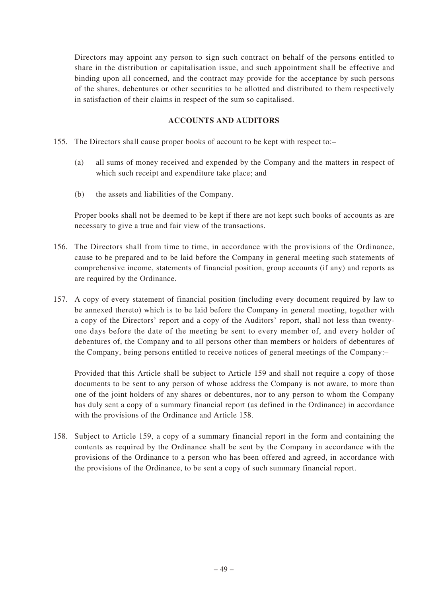Directors may appoint any person to sign such contract on behalf of the persons entitled to share in the distribution or capitalisation issue, and such appointment shall be effective and binding upon all concerned, and the contract may provide for the acceptance by such persons of the shares, debentures or other securities to be allotted and distributed to them respectively in satisfaction of their claims in respect of the sum so capitalised.

# **ACCOUNTS AND AUDITORS**

- 155. The Directors shall cause proper books of account to be kept with respect to:–
	- (a) all sums of money received and expended by the Company and the matters in respect of which such receipt and expenditure take place; and
	- (b) the assets and liabilities of the Company.

Proper books shall not be deemed to be kept if there are not kept such books of accounts as are necessary to give a true and fair view of the transactions.

- 156. The Directors shall from time to time, in accordance with the provisions of the Ordinance, cause to be prepared and to be laid before the Company in general meeting such statements of comprehensive income, statements of financial position, group accounts (if any) and reports as are required by the Ordinance.
- 157. A copy of every statement of financial position (including every document required by law to be annexed thereto) which is to be laid before the Company in general meeting, together with a copy of the Directors' report and a copy of the Auditors' report, shall not less than twentyone days before the date of the meeting be sent to every member of, and every holder of debentures of, the Company and to all persons other than members or holders of debentures of the Company, being persons entitled to receive notices of general meetings of the Company:–

Provided that this Article shall be subject to Article 159 and shall not require a copy of those documents to be sent to any person of whose address the Company is not aware, to more than one of the joint holders of any shares or debentures, nor to any person to whom the Company has duly sent a copy of a summary financial report (as defined in the Ordinance) in accordance with the provisions of the Ordinance and Article 158.

158. Subject to Article 159, a copy of a summary financial report in the form and containing the contents as required by the Ordinance shall be sent by the Company in accordance with the provisions of the Ordinance to a person who has been offered and agreed, in accordance with the provisions of the Ordinance, to be sent a copy of such summary financial report.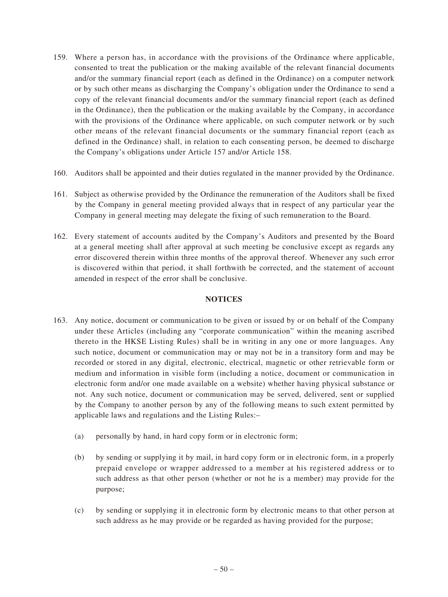- 159. Where a person has, in accordance with the provisions of the Ordinance where applicable, consented to treat the publication or the making available of the relevant financial documents and/or the summary financial report (each as defined in the Ordinance) on a computer network or by such other means as discharging the Company's obligation under the Ordinance to send a copy of the relevant financial documents and/or the summary financial report (each as defined in the Ordinance), then the publication or the making available by the Company, in accordance with the provisions of the Ordinance where applicable, on such computer network or by such other means of the relevant financial documents or the summary financial report (each as defined in the Ordinance) shall, in relation to each consenting person, be deemed to discharge the Company's obligations under Article 157 and/or Article 158.
- 160. Auditors shall be appointed and their duties regulated in the manner provided by the Ordinance.
- 161. Subject as otherwise provided by the Ordinance the remuneration of the Auditors shall be fixed by the Company in general meeting provided always that in respect of any particular year the Company in general meeting may delegate the fixing of such remuneration to the Board.
- 162. Every statement of accounts audited by the Company's Auditors and presented by the Board at a general meeting shall after approval at such meeting be conclusive except as regards any error discovered therein within three months of the approval thereof. Whenever any such error is discovered within that period, it shall forthwith be corrected, and the statement of account amended in respect of the error shall be conclusive.

# **NOTICES**

- 163. Any notice, document or communication to be given or issued by or on behalf of the Company under these Articles (including any "corporate communication" within the meaning ascribed thereto in the HKSE Listing Rules) shall be in writing in any one or more languages. Any such notice, document or communication may or may not be in a transitory form and may be recorded or stored in any digital, electronic, electrical, magnetic or other retrievable form or medium and information in visible form (including a notice, document or communication in electronic form and/or one made available on a website) whether having physical substance or not. Any such notice, document or communication may be served, delivered, sent or supplied by the Company to another person by any of the following means to such extent permitted by applicable laws and regulations and the Listing Rules:–
	- (a) personally by hand, in hard copy form or in electronic form;
	- (b) by sending or supplying it by mail, in hard copy form or in electronic form, in a properly prepaid envelope or wrapper addressed to a member at his registered address or to such address as that other person (whether or not he is a member) may provide for the purpose;
	- (c) by sending or supplying it in electronic form by electronic means to that other person at such address as he may provide or be regarded as having provided for the purpose;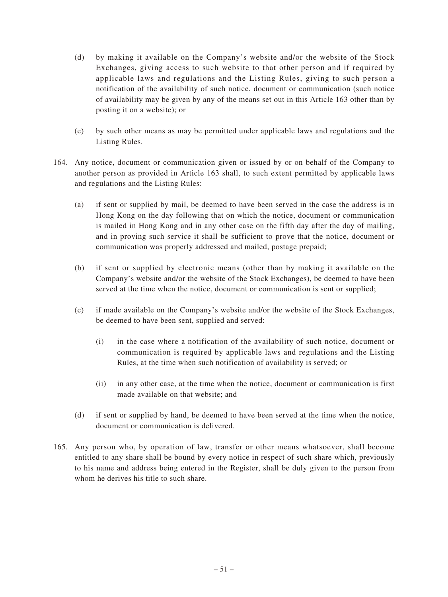- (d) by making it available on the Company's website and/or the website of the Stock Exchanges, giving access to such website to that other person and if required by applicable laws and regulations and the Listing Rules, giving to such person a notification of the availability of such notice, document or communication (such notice of availability may be given by any of the means set out in this Article 163 other than by posting it on a website); or
- (e) by such other means as may be permitted under applicable laws and regulations and the Listing Rules.
- 164. Any notice, document or communication given or issued by or on behalf of the Company to another person as provided in Article 163 shall, to such extent permitted by applicable laws and regulations and the Listing Rules:–
	- (a) if sent or supplied by mail, be deemed to have been served in the case the address is in Hong Kong on the day following that on which the notice, document or communication is mailed in Hong Kong and in any other case on the fifth day after the day of mailing, and in proving such service it shall be sufficient to prove that the notice, document or communication was properly addressed and mailed, postage prepaid;
	- (b) if sent or supplied by electronic means (other than by making it available on the Company's website and/or the website of the Stock Exchanges), be deemed to have been served at the time when the notice, document or communication is sent or supplied;
	- (c) if made available on the Company's website and/or the website of the Stock Exchanges, be deemed to have been sent, supplied and served:–
		- (i) in the case where a notification of the availability of such notice, document or communication is required by applicable laws and regulations and the Listing Rules, at the time when such notification of availability is served; or
		- (ii) in any other case, at the time when the notice, document or communication is first made available on that website; and
	- (d) if sent or supplied by hand, be deemed to have been served at the time when the notice, document or communication is delivered.
- 165. Any person who, by operation of law, transfer or other means whatsoever, shall become entitled to any share shall be bound by every notice in respect of such share which, previously to his name and address being entered in the Register, shall be duly given to the person from whom he derives his title to such share.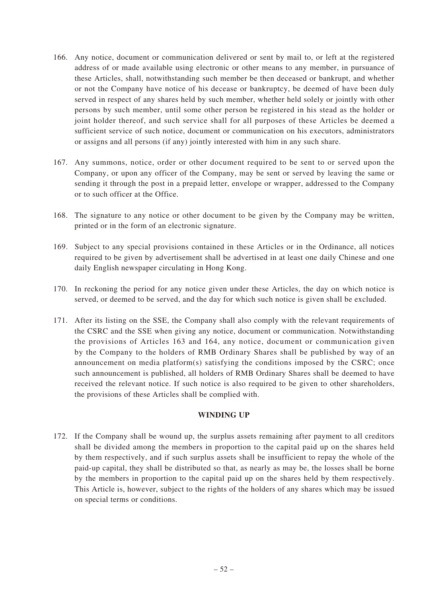- 166. Any notice, document or communication delivered or sent by mail to, or left at the registered address of or made available using electronic or other means to any member, in pursuance of these Articles, shall, notwithstanding such member be then deceased or bankrupt, and whether or not the Company have notice of his decease or bankruptcy, be deemed of have been duly served in respect of any shares held by such member, whether held solely or jointly with other persons by such member, until some other person be registered in his stead as the holder or joint holder thereof, and such service shall for all purposes of these Articles be deemed a sufficient service of such notice, document or communication on his executors, administrators or assigns and all persons (if any) jointly interested with him in any such share.
- 167. Any summons, notice, order or other document required to be sent to or served upon the Company, or upon any officer of the Company, may be sent or served by leaving the same or sending it through the post in a prepaid letter, envelope or wrapper, addressed to the Company or to such officer at the Office.
- 168. The signature to any notice or other document to be given by the Company may be written, printed or in the form of an electronic signature.
- 169. Subject to any special provisions contained in these Articles or in the Ordinance, all notices required to be given by advertisement shall be advertised in at least one daily Chinese and one daily English newspaper circulating in Hong Kong.
- 170. In reckoning the period for any notice given under these Articles, the day on which notice is served, or deemed to be served, and the day for which such notice is given shall be excluded.
- 171. After its listing on the SSE, the Company shall also comply with the relevant requirements of the CSRC and the SSE when giving any notice, document or communication. Notwithstanding the provisions of Articles 163 and 164, any notice, document or communication given by the Company to the holders of RMB Ordinary Shares shall be published by way of an announcement on media platform(s) satisfying the conditions imposed by the CSRC; once such announcement is published, all holders of RMB Ordinary Shares shall be deemed to have received the relevant notice. If such notice is also required to be given to other shareholders, the provisions of these Articles shall be complied with.

# **WINDING UP**

172. If the Company shall be wound up, the surplus assets remaining after payment to all creditors shall be divided among the members in proportion to the capital paid up on the shares held by them respectively, and if such surplus assets shall be insufficient to repay the whole of the paid-up capital, they shall be distributed so that, as nearly as may be, the losses shall be borne by the members in proportion to the capital paid up on the shares held by them respectively. This Article is, however, subject to the rights of the holders of any shares which may be issued on special terms or conditions.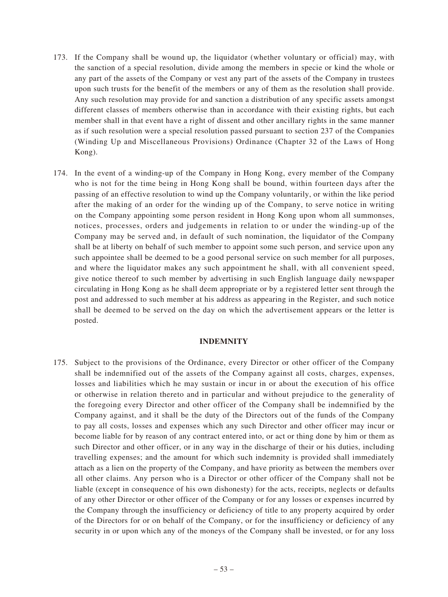- 173. If the Company shall be wound up, the liquidator (whether voluntary or official) may, with the sanction of a special resolution, divide among the members in specie or kind the whole or any part of the assets of the Company or vest any part of the assets of the Company in trustees upon such trusts for the benefit of the members or any of them as the resolution shall provide. Any such resolution may provide for and sanction a distribution of any specific assets amongst different classes of members otherwise than in accordance with their existing rights, but each member shall in that event have a right of dissent and other ancillary rights in the same manner as if such resolution were a special resolution passed pursuant to section 237 of the Companies (Winding Up and Miscellaneous Provisions) Ordinance (Chapter 32 of the Laws of Hong Kong).
- 174. In the event of a winding-up of the Company in Hong Kong, every member of the Company who is not for the time being in Hong Kong shall be bound, within fourteen days after the passing of an effective resolution to wind up the Company voluntarily, or within the like period after the making of an order for the winding up of the Company, to serve notice in writing on the Company appointing some person resident in Hong Kong upon whom all summonses, notices, processes, orders and judgements in relation to or under the winding-up of the Company may be served and, in default of such nomination, the liquidator of the Company shall be at liberty on behalf of such member to appoint some such person, and service upon any such appointee shall be deemed to be a good personal service on such member for all purposes, and where the liquidator makes any such appointment he shall, with all convenient speed, give notice thereof to such member by advertising in such English language daily newspaper circulating in Hong Kong as he shall deem appropriate or by a registered letter sent through the post and addressed to such member at his address as appearing in the Register, and such notice shall be deemed to be served on the day on which the advertisement appears or the letter is posted.

#### **INDEMNITY**

175. Subject to the provisions of the Ordinance, every Director or other officer of the Company shall be indemnified out of the assets of the Company against all costs, charges, expenses, losses and liabilities which he may sustain or incur in or about the execution of his office or otherwise in relation thereto and in particular and without prejudice to the generality of the foregoing every Director and other officer of the Company shall be indemnified by the Company against, and it shall be the duty of the Directors out of the funds of the Company to pay all costs, losses and expenses which any such Director and other officer may incur or become liable for by reason of any contract entered into, or act or thing done by him or them as such Director and other officer, or in any way in the discharge of their or his duties, including travelling expenses; and the amount for which such indemnity is provided shall immediately attach as a lien on the property of the Company, and have priority as between the members over all other claims. Any person who is a Director or other officer of the Company shall not be liable (except in consequence of his own dishonesty) for the acts, receipts, neglects or defaults of any other Director or other officer of the Company or for any losses or expenses incurred by the Company through the insufficiency or deficiency of title to any property acquired by order of the Directors for or on behalf of the Company, or for the insufficiency or deficiency of any security in or upon which any of the moneys of the Company shall be invested, or for any loss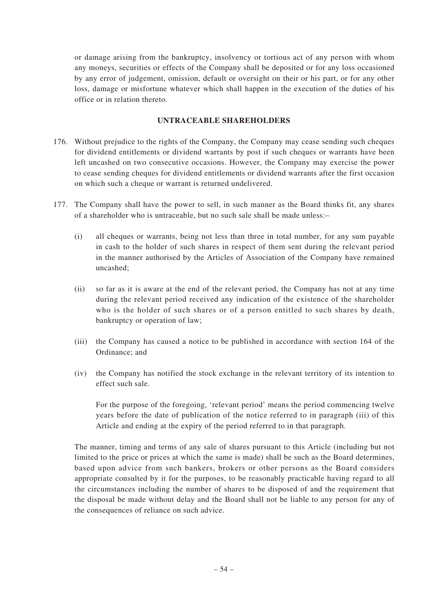or damage arising from the bankruptcy, insolvency or tortious act of any person with whom any moneys, securities or effects of the Company shall be deposited or for any loss occasioned by any error of judgement, omission, default or oversight on their or his part, or for any other loss, damage or misfortune whatever which shall happen in the execution of the duties of his office or in relation thereto.

# **UNTRACEABLE SHAREHOLDERS**

- 176. Without prejudice to the rights of the Company, the Company may cease sending such cheques for dividend entitlements or dividend warrants by post if such cheques or warrants have been left uncashed on two consecutive occasions. However, the Company may exercise the power to cease sending cheques for dividend entitlements or dividend warrants after the first occasion on which such a cheque or warrant is returned undelivered.
- 177. The Company shall have the power to sell, in such manner as the Board thinks fit, any shares of a shareholder who is untraceable, but no such sale shall be made unless:–
	- (i) all cheques or warrants, being not less than three in total number, for any sum payable in cash to the holder of such shares in respect of them sent during the relevant period in the manner authorised by the Articles of Association of the Company have remained uncashed;
	- (ii) so far as it is aware at the end of the relevant period, the Company has not at any time during the relevant period received any indication of the existence of the shareholder who is the holder of such shares or of a person entitled to such shares by death, bankruptcy or operation of law;
	- (iii) the Company has caused a notice to be published in accordance with section 164 of the Ordinance; and
	- (iv) the Company has notified the stock exchange in the relevant territory of its intention to effect such sale.

For the purpose of the foregoing, 'relevant period' means the period commencing twelve years before the date of publication of the notice referred to in paragraph (iii) of this Article and ending at the expiry of the period referred to in that paragraph.

The manner, timing and terms of any sale of shares pursuant to this Article (including but not limited to the price or prices at which the same is made) shall be such as the Board determines, based upon advice from such bankers, brokers or other persons as the Board considers appropriate consulted by it for the purposes, to be reasonably practicable having regard to all the circumstances including the number of shares to be disposed of and the requirement that the disposal be made without delay and the Board shall not be liable to any person for any of the consequences of reliance on such advice.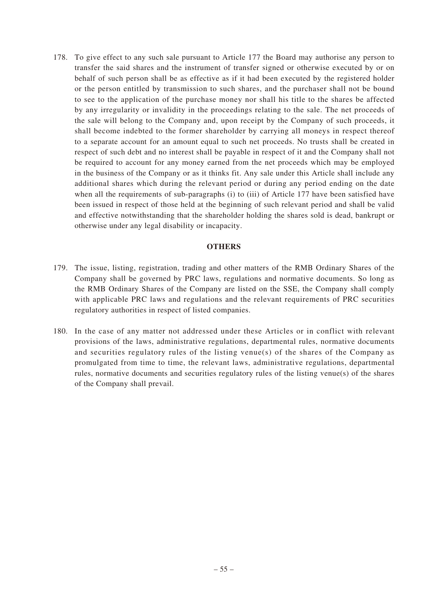178. To give effect to any such sale pursuant to Article 177 the Board may authorise any person to transfer the said shares and the instrument of transfer signed or otherwise executed by or on behalf of such person shall be as effective as if it had been executed by the registered holder or the person entitled by transmission to such shares, and the purchaser shall not be bound to see to the application of the purchase money nor shall his title to the shares be affected by any irregularity or invalidity in the proceedings relating to the sale. The net proceeds of the sale will belong to the Company and, upon receipt by the Company of such proceeds, it shall become indebted to the former shareholder by carrying all moneys in respect thereof to a separate account for an amount equal to such net proceeds. No trusts shall be created in respect of such debt and no interest shall be payable in respect of it and the Company shall not be required to account for any money earned from the net proceeds which may be employed in the business of the Company or as it thinks fit. Any sale under this Article shall include any additional shares which during the relevant period or during any period ending on the date when all the requirements of sub-paragraphs (i) to (iii) of Article 177 have been satisfied have been issued in respect of those held at the beginning of such relevant period and shall be valid and effective notwithstanding that the shareholder holding the shares sold is dead, bankrupt or otherwise under any legal disability or incapacity.

## **OTHERS**

- 179. The issue, listing, registration, trading and other matters of the RMB Ordinary Shares of the Company shall be governed by PRC laws, regulations and normative documents. So long as the RMB Ordinary Shares of the Company are listed on the SSE, the Company shall comply with applicable PRC laws and regulations and the relevant requirements of PRC securities regulatory authorities in respect of listed companies.
- 180. In the case of any matter not addressed under these Articles or in conflict with relevant provisions of the laws, administrative regulations, departmental rules, normative documents and securities regulatory rules of the listing venue(s) of the shares of the Company as promulgated from time to time, the relevant laws, administrative regulations, departmental rules, normative documents and securities regulatory rules of the listing venue(s) of the shares of the Company shall prevail.